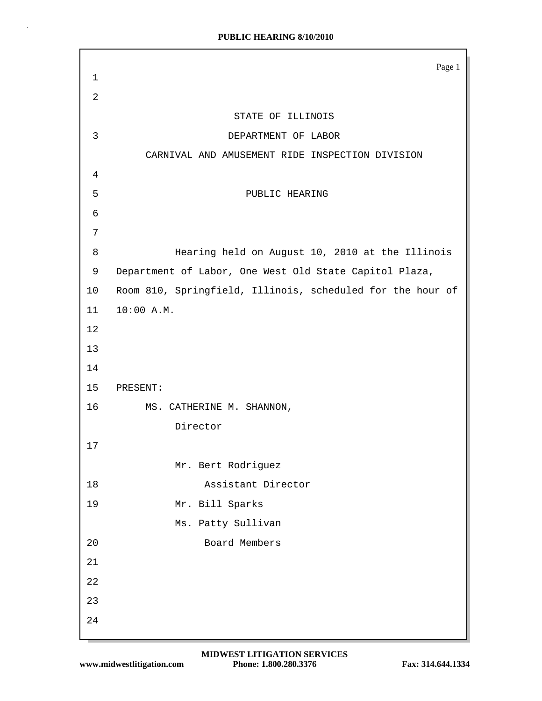| 1              | Page 1                                                     |
|----------------|------------------------------------------------------------|
| $\overline{2}$ |                                                            |
|                | STATE OF ILLINOIS                                          |
| 3              | DEPARTMENT OF LABOR                                        |
|                | CARNIVAL AND AMUSEMENT RIDE INSPECTION DIVISION            |
| 4              |                                                            |
| 5              | PUBLIC HEARING                                             |
| 6              |                                                            |
| 7              |                                                            |
| 8              | Hearing held on August 10, 2010 at the Illinois            |
| 9              | Department of Labor, One West Old State Capitol Plaza,     |
| 10             | Room 810, Springfield, Illinois, scheduled for the hour of |
| 11             | 10:00 A.M.                                                 |
| 12             |                                                            |
| 13             |                                                            |
| 14             |                                                            |
| 15             | PRESENT:                                                   |
| 16             | MS. CATHERINE M. SHANNON,                                  |
|                | Director                                                   |
| 17             |                                                            |
|                | Mr. Bert Rodriguez                                         |
| 18             | Assistant Director                                         |
| 19             | Mr. Bill Sparks                                            |
|                | Ms. Patty Sullivan                                         |
| 20             | Board Members                                              |
| 21             |                                                            |
| 22             |                                                            |
| 23             |                                                            |
| 24             |                                                            |

 $\bar{z}$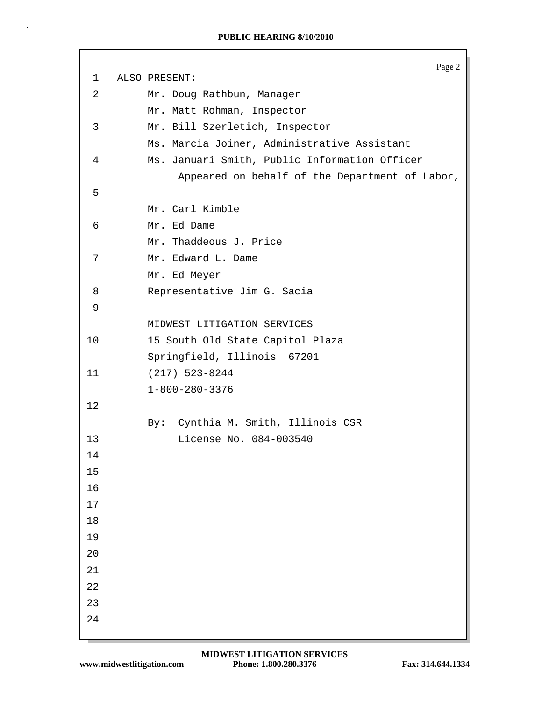Page 2 1 ALSO PRESENT: 2 Mr. Doug Rathbun, Manager Mr. Matt Rohman, Inspector 3 Mr. Bill Szerletich, Inspector Ms. Marcia Joiner, Administrative Assistant 4 Ms. Januari Smith, Public Information Officer Appeared on behalf of the Department of Labor, 5 Mr. Carl Kimble 6 Mr. Ed Dame Mr. Thaddeous J. Price 7 Mr. Edward L. Dame Mr. Ed Meyer 8 Representative Jim G. Sacia 9 MIDWEST LITIGATION SERVICES 10 15 South Old State Capitol Plaza Springfield, Illinois 67201 11 (217) 523-8244 1-800-280-3376 12 By: Cynthia M. Smith, Illinois CSR 13 License No. 084-003540 14 15 16 17 18 19 20 21 22 23 24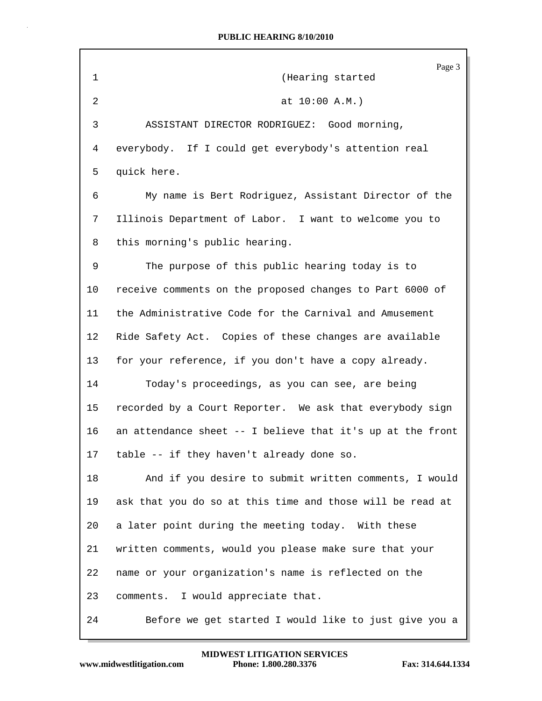|                 | Page 3                                                     |
|-----------------|------------------------------------------------------------|
| $\mathbf 1$     | (Hearing started                                           |
| 2               | at $10:00 A.M.$ )                                          |
| 3               | ASSISTANT DIRECTOR RODRIGUEZ: Good morning,                |
| 4               | everybody. If I could get everybody's attention real       |
| 5               | quick here.                                                |
| 6               | My name is Bert Rodriguez, Assistant Director of the       |
| 7               | Illinois Department of Labor. I want to welcome you to     |
| 8               | this morning's public hearing.                             |
| 9               | The purpose of this public hearing today is to             |
| 10              | receive comments on the proposed changes to Part 6000 of   |
| 11              | the Administrative Code for the Carnival and Amusement     |
| $12 \,$         | Ride Safety Act. Copies of these changes are available     |
| 13              | for your reference, if you don't have a copy already.      |
| 14              | Today's proceedings, as you can see, are being             |
| 15              | recorded by a Court Reporter. We ask that everybody sign   |
| 16              | an attendance sheet -- I believe that it's up at the front |
| 17 <sub>2</sub> | table -- if they haven't already done so.                  |
| 18              | And if you desire to submit written comments, I would      |
| 19              | ask that you do so at this time and those will be read at  |
| 20              | a later point during the meeting today. With these         |
| 21              | written comments, would you please make sure that your     |
| 22              | name or your organization's name is reflected on the       |
| 23              | comments. I would appreciate that.                         |
| 24              | Before we get started I would like to just give you a      |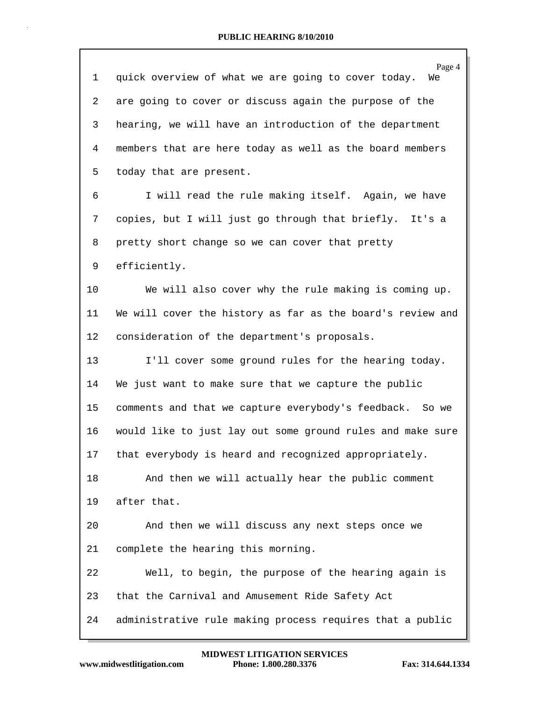| 1  | Page 4<br>quick overview of what we are going to cover today.<br>We |
|----|---------------------------------------------------------------------|
| 2  | are going to cover or discuss again the purpose of the              |
| 3  | hearing, we will have an introduction of the department             |
| 4  | members that are here today as well as the board members            |
| 5  | today that are present.                                             |
| 6  | I will read the rule making itself. Again, we have                  |
| 7  | copies, but I will just go through that briefly. It's a             |
| 8  | pretty short change so we can cover that pretty                     |
| 9  | efficiently.                                                        |
| 10 | We will also cover why the rule making is coming up.                |
| 11 | We will cover the history as far as the board's review and          |
| 12 | consideration of the department's proposals.                        |
| 13 | I'll cover some ground rules for the hearing today.                 |
| 14 | We just want to make sure that we capture the public                |
| 15 | comments and that we capture everybody's feedback. So we            |
| 16 | would like to just lay out some ground rules and make sure          |
| 17 | that everybody is heard and recognized appropriately.               |
| 18 | And then we will actually hear the public comment                   |
| 19 | after that.                                                         |
| 20 | And then we will discuss any next steps once we                     |
| 21 | complete the hearing this morning.                                  |
| 22 | Well, to begin, the purpose of the hearing again is                 |
| 23 | that the Carnival and Amusement Ride Safety Act                     |
| 24 | administrative rule making process requires that a public           |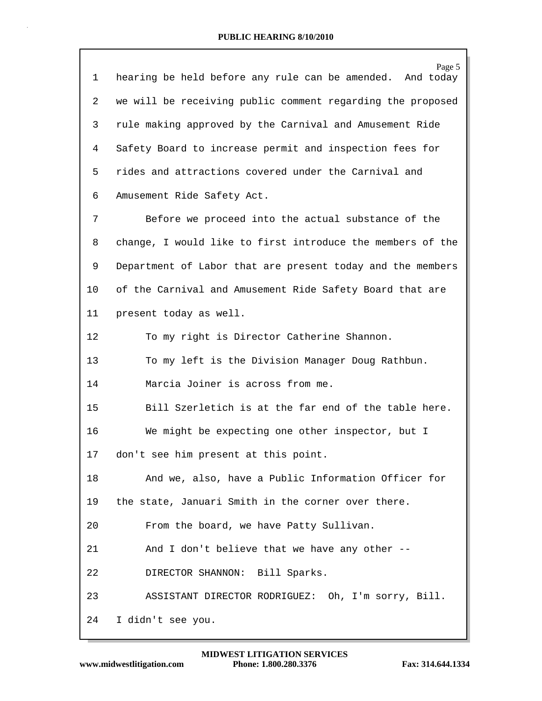|             | Page 5                                                     |
|-------------|------------------------------------------------------------|
| $\mathbf 1$ | hearing be held before any rule can be amended. And today  |
| 2           | we will be receiving public comment regarding the proposed |
| 3           | rule making approved by the Carnival and Amusement Ride    |
| 4           | Safety Board to increase permit and inspection fees for    |
| 5           | rides and attractions covered under the Carnival and       |
| 6           | Amusement Ride Safety Act.                                 |
| 7           | Before we proceed into the actual substance of the         |
| 8           | change, I would like to first introduce the members of the |
| 9           | Department of Labor that are present today and the members |
| 10          | of the Carnival and Amusement Ride Safety Board that are   |
| 11          | present today as well.                                     |
| 12          | To my right is Director Catherine Shannon.                 |
| 13          | To my left is the Division Manager Doug Rathbun.           |
| 14          | Marcia Joiner is across from me.                           |
| 15          | Bill Szerletich is at the far end of the table here.       |
| 16          | We might be expecting one other inspector, but I           |
| 17          | don't see him present at this point.                       |
| 18          | And we, also, have a Public Information Officer for        |
| 19          | the state, Januari Smith in the corner over there.         |
| 20          | From the board, we have Patty Sullivan.                    |
| 21          | And I don't believe that we have any other --              |
| 22          | DIRECTOR SHANNON: Bill Sparks.                             |
| 23          | ASSISTANT DIRECTOR RODRIGUEZ: Oh, I'm sorry, Bill.         |
| 24          | I didn't see you.                                          |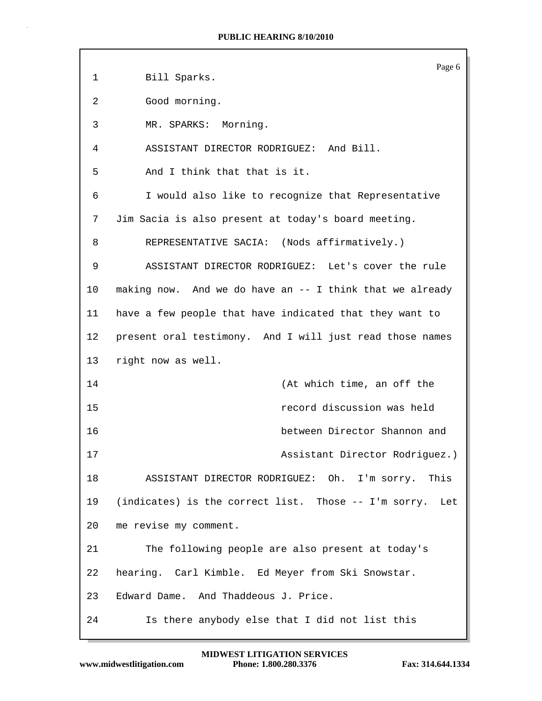|    | Page 6                                                      |
|----|-------------------------------------------------------------|
| 1  | Bill Sparks.                                                |
| 2  | Good morning.                                               |
| 3  | MR. SPARKS: Morning.                                        |
| 4  | ASSISTANT DIRECTOR RODRIGUEZ: And Bill.                     |
| 5  | And I think that that is it.                                |
| 6  | I would also like to recognize that Representative          |
| 7  | Jim Sacia is also present at today's board meeting.         |
| 8  | REPRESENTATIVE SACIA: (Nods affirmatively.)                 |
| 9  | ASSISTANT DIRECTOR RODRIGUEZ: Let's cover the rule          |
| 10 | making now. And we do have an -- I think that we already    |
| 11 | have a few people that have indicated that they want to     |
| 12 | present oral testimony. And I will just read those names    |
| 13 | right now as well.                                          |
| 14 | (At which time, an off the                                  |
| 15 | record discussion was held                                  |
| 16 | between Director Shannon and                                |
| 17 | Assistant Director Rodriguez.)                              |
| 18 | ASSISTANT DIRECTOR RODRIGUEZ: Oh. I'm sorry.<br>This        |
| 19 | (indicates) is the correct list. Those -- I'm sorry.<br>Let |
| 20 | me revise my comment.                                       |
| 21 | The following people are also present at today's            |
| 22 | hearing. Carl Kimble. Ed Meyer from Ski Snowstar.           |
| 23 | Edward Dame. And Thaddeous J. Price.                        |
| 24 | Is there anybody else that I did not list this              |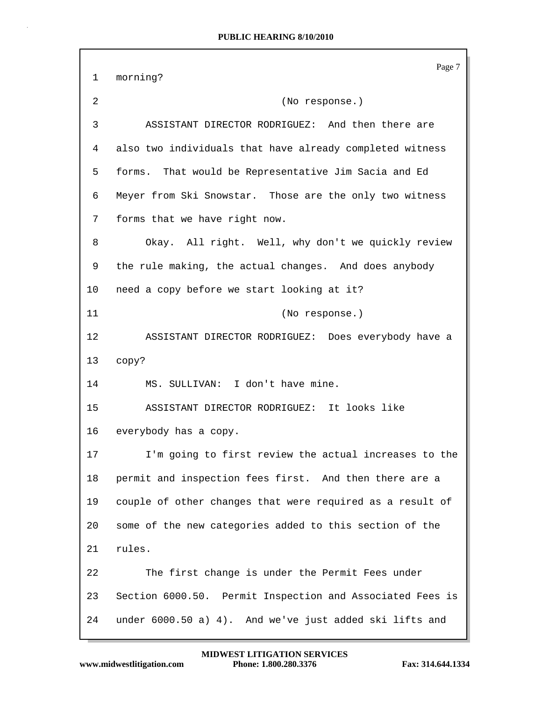| 1               | Page 7<br>morning?                                        |
|-----------------|-----------------------------------------------------------|
|                 |                                                           |
| 2               | (No response.)                                            |
| 3               | ASSISTANT DIRECTOR RODRIGUEZ: And then there are          |
| 4               | also two individuals that have already completed witness  |
| 5               | forms. That would be Representative Jim Sacia and Ed      |
| 6               | Meyer from Ski Snowstar. Those are the only two witness   |
| 7               | forms that we have right now.                             |
| 8               | Okay. All right. Well, why don't we quickly review        |
| 9               | the rule making, the actual changes. And does anybody     |
| 10              | need a copy before we start looking at it?                |
| 11              | (No response.)                                            |
| 12              | ASSISTANT DIRECTOR RODRIGUEZ: Does everybody have a       |
| 13 <sup>°</sup> | copy?                                                     |
| 14              | MS. SULLIVAN: I don't have mine.                          |
| 15              | ASSISTANT DIRECTOR RODRIGUEZ: It looks like               |
| 16              | everybody has a copy.                                     |
| 17              | I'm going to first review the actual increases to the     |
| 18              | permit and inspection fees first. And then there are a    |
| 19              | couple of other changes that were required as a result of |
| 20              | some of the new categories added to this section of the   |
| 21              | rules.                                                    |
| 22              | The first change is under the Permit Fees under           |
| 23              | Section 6000.50. Permit Inspection and Associated Fees is |
| 24              | under 6000.50 a) 4). And we've just added ski lifts and   |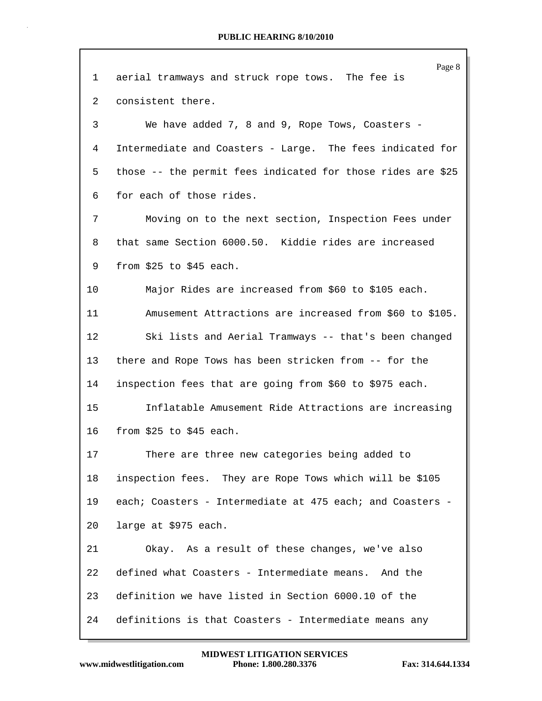| 1              | Page 8<br>aerial tramways and struck rope tows. The fee is  |
|----------------|-------------------------------------------------------------|
| $\overline{2}$ | consistent there.                                           |
| 3              | We have added 7, 8 and 9, Rope Tows, Coasters -             |
| 4              | Intermediate and Coasters - Large. The fees indicated for   |
| 5              | those -- the permit fees indicated for those rides are \$25 |
| 6              | for each of those rides.                                    |
| 7              | Moving on to the next section, Inspection Fees under        |
| 8              | that same Section 6000.50. Kiddie rides are increased       |
|                |                                                             |
| 9              | from $$25$ to $$45$ each.                                   |
| 10             | Major Rides are increased from \$60 to \$105 each.          |
| 11             | Amusement Attractions are increased from \$60 to \$105.     |
| 12             | Ski lists and Aerial Tramways -- that's been changed        |
| 13             | there and Rope Tows has been stricken from -- for the       |
| 14             | inspection fees that are going from \$60 to \$975 each.     |
| 15             | Inflatable Amusement Ride Attractions are increasing        |
| 16             | from $$25$ to $$45$ each.                                   |
| 17             | There are three new categories being added to               |
| 18             | inspection fees. They are Rope Tows which will be \$105     |
| 19             | each; Coasters - Intermediate at 475 each; and Coasters -   |
| 20             | large at \$975 each.                                        |
| 21             | Okay. As a result of these changes, we've also              |
| 22             | defined what Coasters - Intermediate means. And the         |
| 23             | definition we have listed in Section 6000.10 of the         |
| 24             | definitions is that Coasters - Intermediate means any       |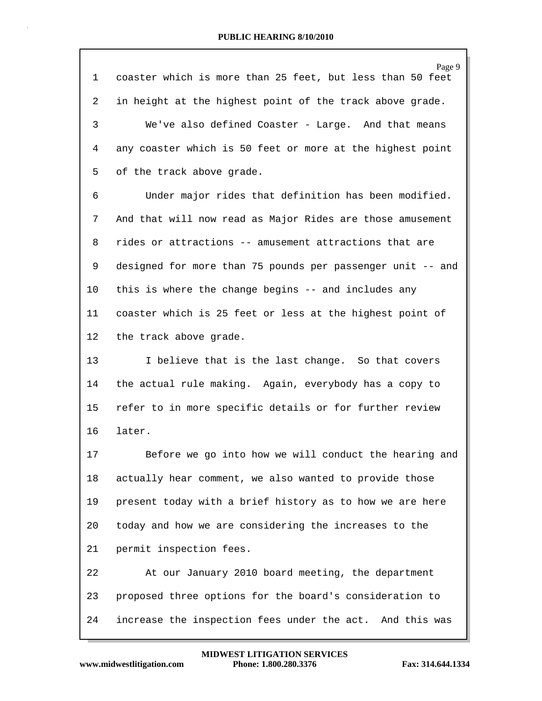| $\mathbf 1$ | Page 9<br>coaster which is more than 25 feet, but less than 50 feet |
|-------------|---------------------------------------------------------------------|
| 2           | in height at the highest point of the track above grade.            |
| 3           | We've also defined Coaster - Large. And that means                  |
| 4           | any coaster which is 50 feet or more at the highest point           |
| 5           | of the track above grade.                                           |
| 6           | Under major rides that definition has been modified.                |
| 7           | And that will now read as Major Rides are those amusement           |
| 8           | rides or attractions -- amusement attractions that are              |
| 9           | designed for more than 75 pounds per passenger unit -- and          |
| 10          | this is where the change begins -- and includes any                 |
| 11          | coaster which is 25 feet or less at the highest point of            |
| 12          | the track above grade.                                              |
| 13          | I believe that is the last change. So that covers                   |
| 14          | the actual rule making. Again, everybody has a copy to              |
| 15          | refer to in more specific details or for further review             |
| 16          | later.                                                              |
| 17          | Before we go into how we will conduct the hearing and               |
| 18          | actually hear comment, we also wanted to provide those              |
| 19          | present today with a brief history as to how we are here            |
| 20          | today and how we are considering the increases to the               |
| 21          | permit inspection fees.                                             |
| 22          | At our January 2010 board meeting, the department                   |
| 23          | proposed three options for the board's consideration to             |
| 24          | increase the inspection fees under the act. And this was            |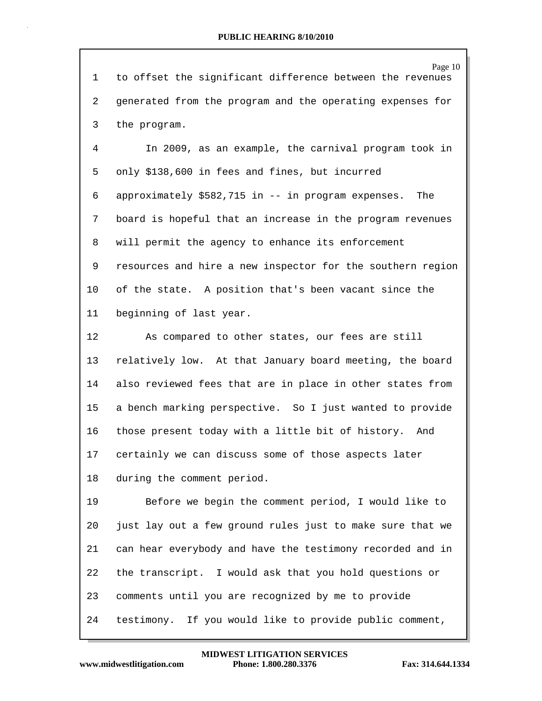Page 10 1 to offset the significant difference between the revenues 2 generated from the program and the operating expenses for 3 the program.

4 In 2009, as an example, the carnival program took in 5 only \$138,600 in fees and fines, but incurred 6 approximately \$582,715 in -- in program expenses. The 7 board is hopeful that an increase in the program revenues 8 will permit the agency to enhance its enforcement 9 resources and hire a new inspector for the southern region 10 of the state. A position that's been vacant since the 11 beginning of last year.

12 As compared to other states, our fees are still 13 relatively low. At that January board meeting, the board 14 also reviewed fees that are in place in other states from 15 a bench marking perspective. So I just wanted to provide 16 those present today with a little bit of history. And 17 certainly we can discuss some of those aspects later 18 during the comment period.

19 Before we begin the comment period, I would like to 20 just lay out a few ground rules just to make sure that we 21 can hear everybody and have the testimony recorded and in 22 the transcript. I would ask that you hold questions or 23 comments until you are recognized by me to provide 24 testimony. If you would like to provide public comment,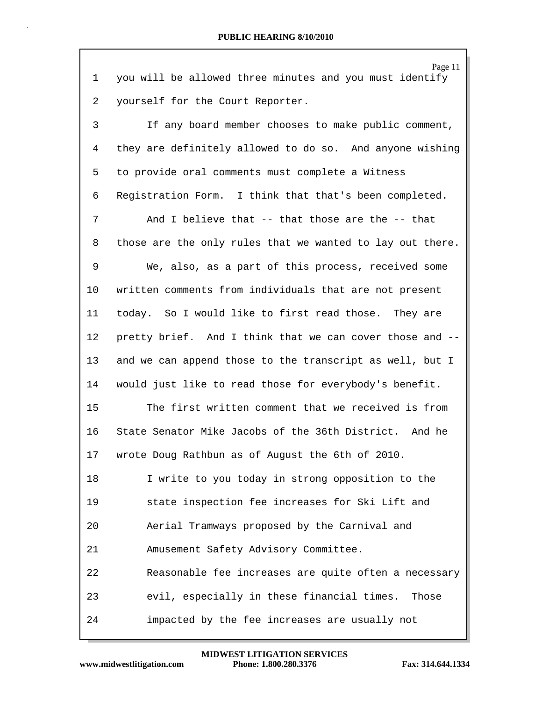| 1  | Page 11<br>you will be allowed three minutes and you must identify |
|----|--------------------------------------------------------------------|
| 2  | yourself for the Court Reporter.                                   |
| 3  | If any board member chooses to make public comment,                |
|    |                                                                    |
| 4  | they are definitely allowed to do so. And anyone wishing           |
| 5  | to provide oral comments must complete a Witness                   |
| 6  | Registration Form. I think that that's been completed.             |
| 7  | And I believe that -- that those are the -- that                   |
| 8  | those are the only rules that we wanted to lay out there.          |
| 9  | We, also, as a part of this process, received some                 |
| 10 | written comments from individuals that are not present             |
| 11 | today. So I would like to first read those. They are               |
| 12 | pretty brief. And I think that we can cover those and --           |
| 13 | and we can append those to the transcript as well, but I           |
| 14 | would just like to read those for everybody's benefit.             |
| 15 | The first written comment that we received is from                 |
| 16 | State Senator Mike Jacobs of the 36th District. And he             |
| 17 | wrote Doug Rathbun as of August the 6th of 2010.                   |
| 18 | I write to you today in strong opposition to the                   |
| 19 | state inspection fee increases for Ski Lift and                    |
| 20 | Aerial Tramways proposed by the Carnival and                       |
| 21 | Amusement Safety Advisory Committee.                               |
| 22 | Reasonable fee increases are quite often a necessary               |
| 23 | evil, especially in these financial times.<br>Those                |
| 24 | impacted by the fee increases are usually not                      |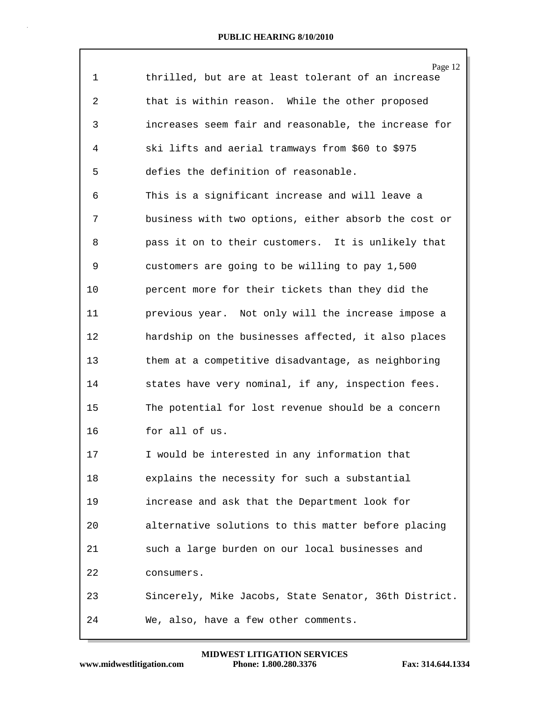| $\mathbf 1$    | Page 12<br>thrilled, but are at least tolerant of an increase |
|----------------|---------------------------------------------------------------|
| $\overline{a}$ | that is within reason. While the other proposed               |
| 3              | increases seem fair and reasonable, the increase for          |
| 4              | ski lifts and aerial tramways from \$60 to \$975              |
| 5              | defies the definition of reasonable.                          |
| 6              | This is a significant increase and will leave a               |
| 7              | business with two options, either absorb the cost or          |
| 8              | pass it on to their customers. It is unlikely that            |
| 9              | customers are going to be willing to pay 1,500                |
| 10             | percent more for their tickets than they did the              |
| 11             | previous year. Not only will the increase impose a            |
| 12             | hardship on the businesses affected, it also places           |
| 13             | them at a competitive disadvantage, as neighboring            |
| 14             | states have very nominal, if any, inspection fees.            |
| 15             | The potential for lost revenue should be a concern            |
| 16             | for all of us.                                                |
| 17             | I would be interested in any information that                 |
| 18             | explains the necessity for such a substantial                 |
| 19             | increase and ask that the Department look for                 |
| 20             | alternative solutions to this matter before placing           |
| 21             | such a large burden on our local businesses and               |
| 22             | consumers.                                                    |
| 23             | Sincerely, Mike Jacobs, State Senator, 36th District.         |
| 24             | We, also, have a few other comments.                          |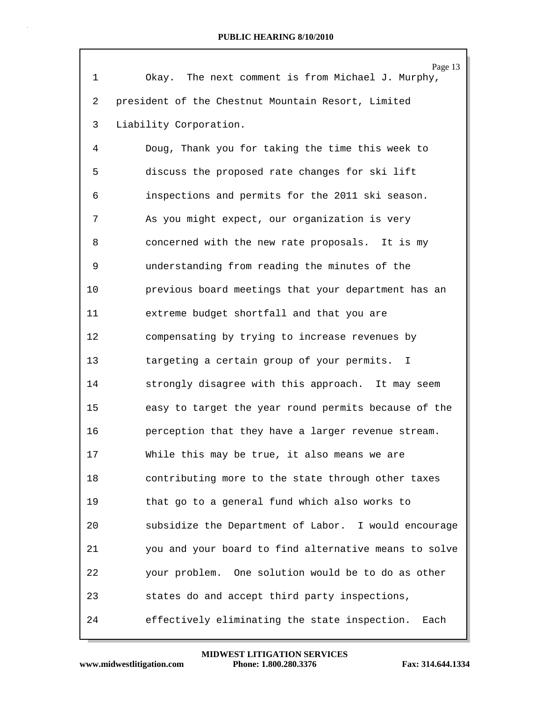| $\mathbf 1$ | Page 13<br>Okay. The next comment is from Michael J. Murphy, |
|-------------|--------------------------------------------------------------|
| 2           | president of the Chestnut Mountain Resort, Limited           |
| 3           | Liability Corporation.                                       |
| 4           | Doug, Thank you for taking the time this week to             |
| 5           | discuss the proposed rate changes for ski lift               |
| 6           | inspections and permits for the 2011 ski season.             |
| 7           | As you might expect, our organization is very                |
| 8           | concerned with the new rate proposals. It is my              |
| 9           | understanding from reading the minutes of the                |
| 10          | previous board meetings that your department has an          |
| 11          | extreme budget shortfall and that you are                    |
| 12          |                                                              |
|             | compensating by trying to increase revenues by               |
| 13          | targeting a certain group of your permits.<br>I.             |
| 14          | strongly disagree with this approach. It may seem            |
| 15          | easy to target the year round permits because of the         |
| 16          | perception that they have a larger revenue stream.           |
| 17          | While this may be true, it also means we are                 |
| 18          | contributing more to the state through other taxes           |
| 19          | that go to a general fund which also works to                |
| 20          | subsidize the Department of Labor. I would encourage         |
| 21          | you and your board to find alternative means to solve        |
| 22          | your problem. One solution would be to do as other           |
| 23          | states do and accept third party inspections,                |
| 24          | effectively eliminating the state inspection.<br>Each        |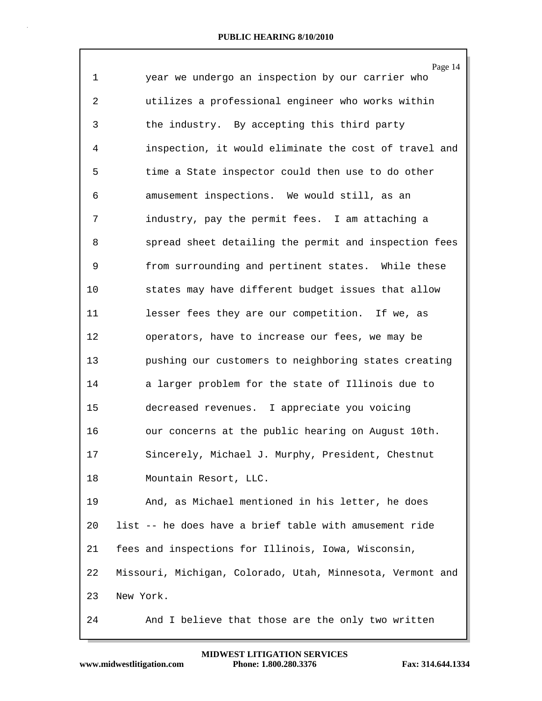Page 14 1 year we undergo an inspection by our carrier who 2 utilizes a professional engineer who works within 3 the industry. By accepting this third party 4 inspection, it would eliminate the cost of travel and 5 time a State inspector could then use to do other 6 amusement inspections. We would still, as an 7 industry, pay the permit fees. I am attaching a 8 spread sheet detailing the permit and inspection fees 9 from surrounding and pertinent states. While these 10 states may have different budget issues that allow 11 lesser fees they are our competition. If we, as 12 operators, have to increase our fees, we may be 13 pushing our customers to neighboring states creating 14 a larger problem for the state of Illinois due to 15 decreased revenues. I appreciate you voicing 16 our concerns at the public hearing on August 10th. 17 Sincerely, Michael J. Murphy, President, Chestnut 18 Mountain Resort, LLC. 19 And, as Michael mentioned in his letter, he does 20 list -- he does have a brief table with amusement ride 21 fees and inspections for Illinois, Iowa, Wisconsin, 22 Missouri, Michigan, Colorado, Utah, Minnesota, Vermont and 23 New York. 24 And I believe that those are the only two written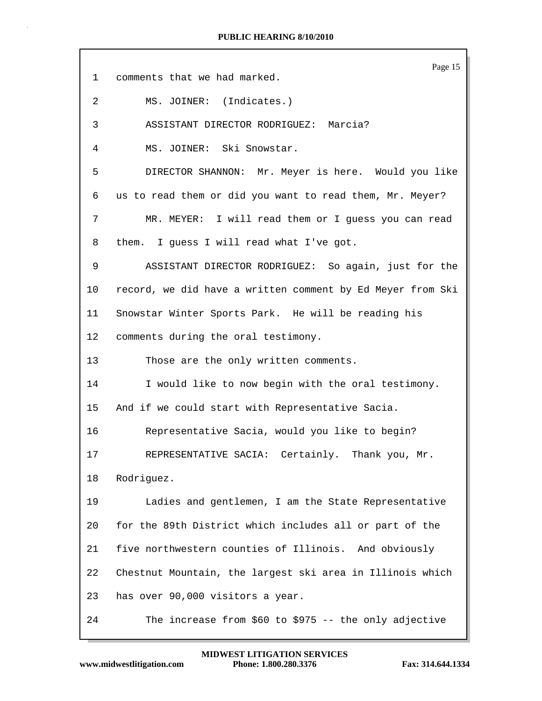|              | Page 15                                                    |
|--------------|------------------------------------------------------------|
| $\mathbf{1}$ | comments that we had marked.                               |
| 2            | MS. JOINER: (Indicates.)                                   |
| 3            | ASSISTANT DIRECTOR RODRIGUEZ: Marcia?                      |
| 4            | MS. JOINER: Ski Snowstar.                                  |
| 5            | DIRECTOR SHANNON: Mr. Meyer is here. Would you like        |
| 6            | us to read them or did you want to read them, Mr. Meyer?   |
| 7            | MR. MEYER: I will read them or I guess you can read        |
| 8            | them. I guess I will read what I've got.                   |
| 9            | ASSISTANT DIRECTOR RODRIGUEZ: So again, just for the       |
| 10           | record, we did have a written comment by Ed Meyer from Ski |
| 11           | Snowstar Winter Sports Park. He will be reading his        |
| 12           | comments during the oral testimony.                        |
| 13           | Those are the only written comments.                       |
| 14           | I would like to now begin with the oral testimony.         |
| 15           | And if we could start with Representative Sacia.           |
| 16           | Representative Sacia, would you like to begin?             |
| 17           | REPRESENTATIVE SACIA: Certainly. Thank you, Mr.            |
| 18           | Rodriquez.                                                 |
| 19           | Ladies and gentlemen, I am the State Representative        |
| 20           | for the 89th District which includes all or part of the    |
| 21           | five northwestern counties of Illinois. And obviously      |
| 22           | Chestnut Mountain, the largest ski area in Illinois which  |
| 23           | has over 90,000 visitors a year.                           |
| 24           | The increase from \$60 to \$975 -- the only adjective      |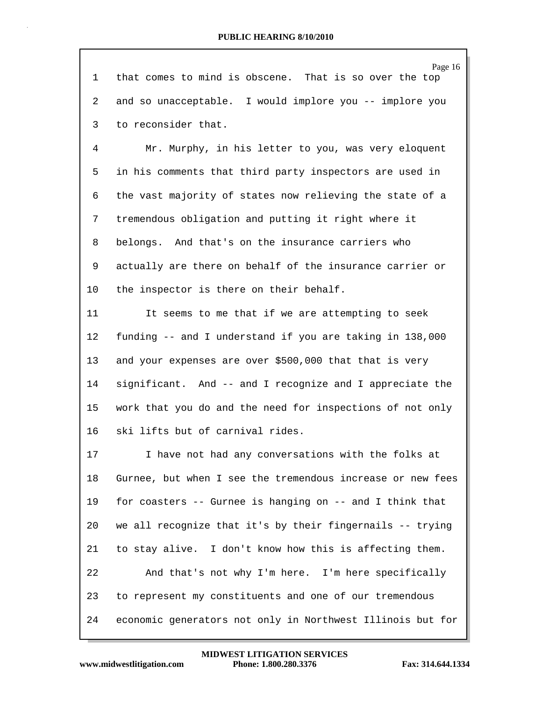Page 16 1 that comes to mind is obscene. That is so over the top 2 and so unacceptable. I would implore you -- implore you 3 to reconsider that. 4 Mr. Murphy, in his letter to you, was very eloquent 5 in his comments that third party inspectors are used in 6 the vast majority of states now relieving the state of a 7 tremendous obligation and putting it right where it 8 belongs. And that's on the insurance carriers who 9 actually are there on behalf of the insurance carrier or 10 the inspector is there on their behalf. 11 It seems to me that if we are attempting to seek 12 funding -- and I understand if you are taking in 138,000 13 and your expenses are over \$500,000 that that is very 14 significant. And -- and I recognize and I appreciate the 15 work that you do and the need for inspections of not only 16 ski lifts but of carnival rides. 17 I have not had any conversations with the folks at 18 Gurnee, but when I see the tremendous increase or new fees 19 for coasters -- Gurnee is hanging on -- and I think that 20 we all recognize that it's by their fingernails -- trying 21 to stay alive. I don't know how this is affecting them. 22 And that's not why I'm here. I'm here specifically 23 to represent my constituents and one of our tremendous 24 economic generators not only in Northwest Illinois but for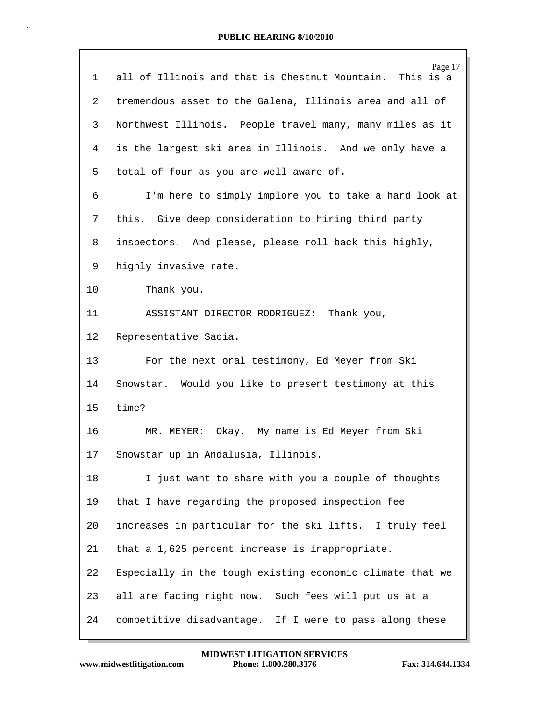| 1  | Page 17<br>all of Illinois and that is Chestnut Mountain.<br>This is a |
|----|------------------------------------------------------------------------|
| 2  | tremendous asset to the Galena, Illinois area and all of               |
| 3  | Northwest Illinois. People travel many, many miles as it               |
| 4  | is the largest ski area in Illinois. And we only have a                |
| 5  | total of four as you are well aware of.                                |
| 6  | I'm here to simply implore you to take a hard look at                  |
| 7  | this. Give deep consideration to hiring third party                    |
| 8  | inspectors. And please, please roll back this highly,                  |
| 9  | highly invasive rate.                                                  |
| 10 | Thank you.                                                             |
| 11 | ASSISTANT DIRECTOR RODRIGUEZ:<br>Thank you,                            |
| 12 | Representative Sacia.                                                  |
| 13 | For the next oral testimony, Ed Meyer from Ski                         |
| 14 | Snowstar. Would you like to present testimony at this                  |
| 15 | time?                                                                  |
| 16 | MR. MEYER: Okay. My name is Ed Meyer from Ski                          |
| 17 | Snowstar up in Andalusia, Illinois.                                    |
| 18 | I just want to share with you a couple of thoughts                     |
| 19 | that I have regarding the proposed inspection fee                      |
| 20 | increases in particular for the ski lifts. I truly feel                |
| 21 | that a 1,625 percent increase is inappropriate.                        |
| 22 | Especially in the tough existing economic climate that we              |
| 23 | all are facing right now. Such fees will put us at a                   |
| 24 | competitive disadvantage. If I were to pass along these                |

 $\Gamma$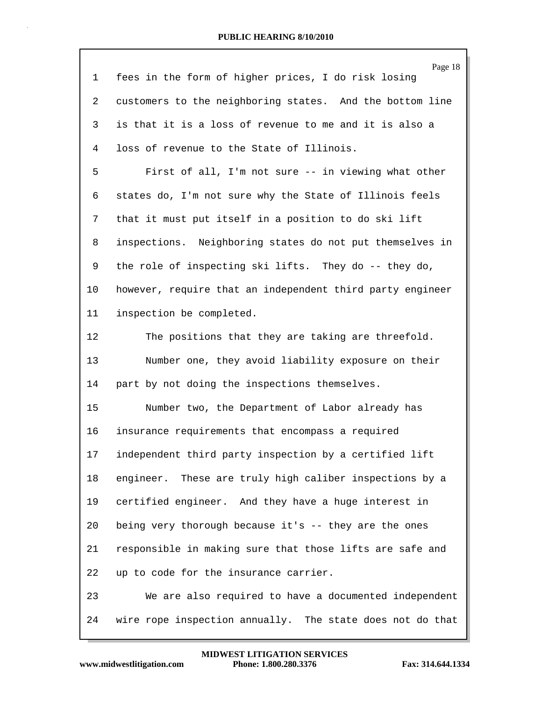| $\mathbf{1}$   | Page 18<br>fees in the form of higher prices, I do risk losing |
|----------------|----------------------------------------------------------------|
| $\overline{2}$ | customers to the neighboring states. And the bottom line       |
|                |                                                                |
| 3              | is that it is a loss of revenue to me and it is also a         |
| 4              | loss of revenue to the State of Illinois.                      |
| 5              | First of all, I'm not sure -- in viewing what other            |
| 6              | states do, I'm not sure why the State of Illinois feels        |
| 7              | that it must put itself in a position to do ski lift           |
| 8              | inspections. Neighboring states do not put themselves in       |
| 9              | the role of inspecting ski lifts. They do -- they do,          |
| 10             | however, require that an independent third party engineer      |
| 11             | inspection be completed.                                       |
| 12             | The positions that they are taking are threefold.              |
| 13             | Number one, they avoid liability exposure on their             |
| 14             | part by not doing the inspections themselves.                  |
| 15             | Number two, the Department of Labor already has                |
| 16             | insurance requirements that encompass a required               |
| 17             | independent third party inspection by a certified lift         |
| 18             | engineer. These are truly high caliber inspections by a        |
| 19             | certified engineer. And they have a huge interest in           |
| 20             | being very thorough because it's -- they are the ones          |
| 21             | responsible in making sure that those lifts are safe and       |
| 22             | up to code for the insurance carrier.                          |
| 23             | We are also required to have a documented independent          |
| 24             | wire rope inspection annually. The state does not do that      |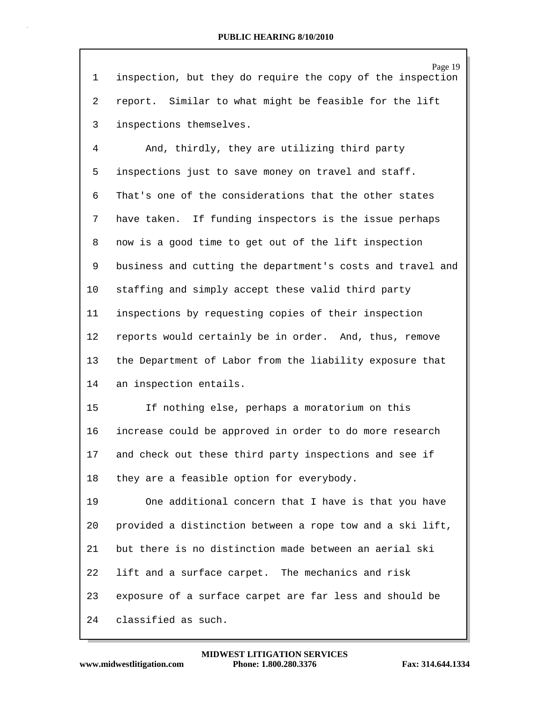| 1              | Page 19<br>inspection, but they do require the copy of the inspection |
|----------------|-----------------------------------------------------------------------|
| 2              | report. Similar to what might be feasible for the lift                |
| 3              | inspections themselves.                                               |
| $\overline{4}$ | And, thirdly, they are utilizing third party                          |
| 5              | inspections just to save money on travel and staff.                   |
| 6              | That's one of the considerations that the other states                |
| 7              | have taken. If funding inspectors is the issue perhaps                |
| 8              | now is a good time to get out of the lift inspection                  |
| 9              | business and cutting the department's costs and travel and            |
| 10             | staffing and simply accept these valid third party                    |
| 11             | inspections by requesting copies of their inspection                  |
| 12             | reports would certainly be in order. And, thus, remove                |
| 13             | the Department of Labor from the liability exposure that              |
| 14             | an inspection entails.                                                |
| 15             | If nothing else, perhaps a moratorium on this                         |
| 16             | increase could be approved in order to do more research               |
| 17             | and check out these third party inspections and see if                |
| 18             | they are a feasible option for everybody.                             |

19 One additional concern that I have is that you have 20 provided a distinction between a rope tow and a ski lift, 21 but there is no distinction made between an aerial ski 22 lift and a surface carpet. The mechanics and risk 23 exposure of a surface carpet are far less and should be 24 classified as such.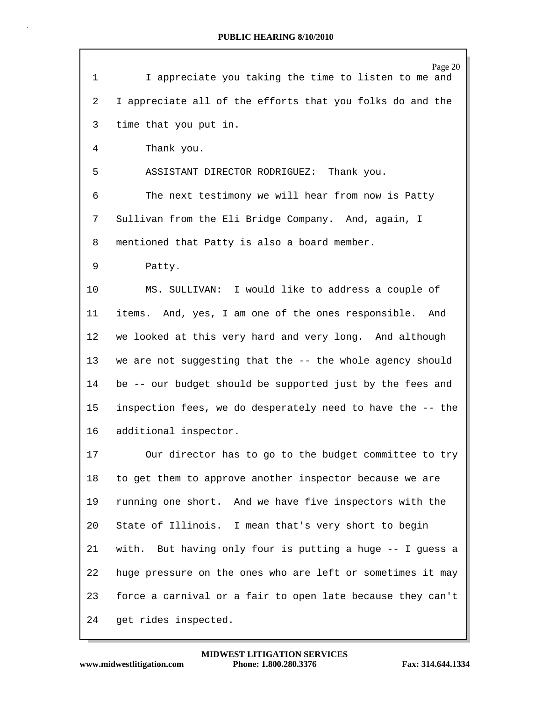| $\mathbf{1}$   | Page 20<br>I appreciate you taking the time to listen to me and |
|----------------|-----------------------------------------------------------------|
| $\overline{2}$ | I appreciate all of the efforts that you folks do and the       |
| 3              | time that you put in.                                           |
| 4              | Thank you.                                                      |
| 5              | ASSISTANT DIRECTOR RODRIGUEZ:<br>Thank you.                     |
| 6              | The next testimony we will hear from now is Patty               |
| 7              | Sullivan from the Eli Bridge Company. And, again, I             |
| 8              | mentioned that Patty is also a board member.                    |
| 9              | Patty.                                                          |
| 10             | MS. SULLIVAN: I would like to address a couple of               |
| 11             | items. And, yes, I am one of the ones responsible. And          |
| 12             | we looked at this very hard and very long. And although         |
| 13             | we are not suggesting that the -- the whole agency should       |
| 14             | be -- our budget should be supported just by the fees and       |
| 15             | inspection fees, we do desperately need to have the -- the      |
| 16             | additional inspector.                                           |
| 17             | Our director has to go to the budget committee to try           |
| 18             | to get them to approve another inspector because we are         |
| 19             | running one short. And we have five inspectors with the         |
| 20             | State of Illinois. I mean that's very short to begin            |
| 21             | with. But having only four is putting a huge -- I guess a       |
| 22             | huge pressure on the ones who are left or sometimes it may      |
| 23             | force a carnival or a fair to open late because they can't      |
| 24             | get rides inspected.                                            |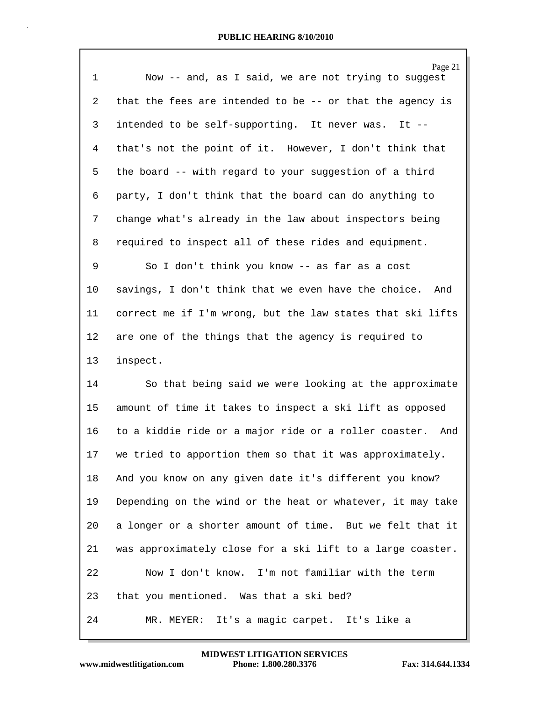| $\mathbf 1$ | Page 21<br>Now -- and, as I said, we are not trying to suggest |
|-------------|----------------------------------------------------------------|
| 2           | that the fees are intended to be $-$ - or that the agency is   |
| 3           | intended to be self-supporting. It never was.<br>$It --$       |
| 4           | that's not the point of it. However, I don't think that        |
| 5           | the board -- with regard to your suggestion of a third         |
| 6           | party, I don't think that the board can do anything to         |
| 7           | change what's already in the law about inspectors being        |
| 8           | required to inspect all of these rides and equipment.          |
| 9           | So I don't think you know -- as far as a cost                  |
| 10          | savings, I don't think that we even have the choice. And       |
| 11          | correct me if I'm wrong, but the law states that ski lifts     |
| 12          | are one of the things that the agency is required to           |
| 13          | inspect.                                                       |
| 14          | So that being said we were looking at the approximate          |
| 15          | amount of time it takes to inspect a ski lift as opposed       |
| 16          | to a kiddie ride or a major ride or a roller coaster. And      |
| 17          | we tried to apportion them so that it was approximately.       |
| 18          | And you know on any given date it's different you know?        |
| 19          | Depending on the wind or the heat or whatever, it may take     |
| 20          | a longer or a shorter amount of time. But we felt that it      |
| 21          | was approximately close for a ski lift to a large coaster.     |
| 22          | Now I don't know. I'm not familiar with the term               |
| 23          | that you mentioned. Was that a ski bed?                        |
| 24          | MR. MEYER: It's a magic carpet. It's like a                    |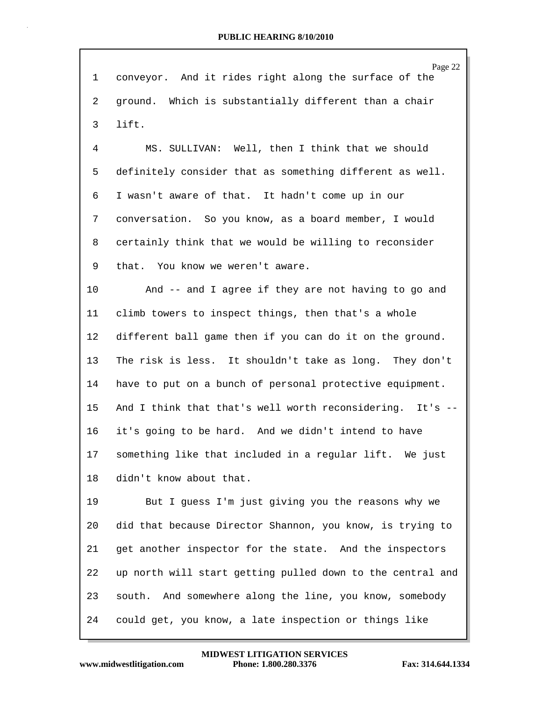Page 22 1 conveyor. And it rides right along the surface of the 2 ground. Which is substantially different than a chair 3 lift. 4 MS. SULLIVAN: Well, then I think that we should 5 definitely consider that as something different as well. 6 I wasn't aware of that. It hadn't come up in our 7 conversation. So you know, as a board member, I would 8 certainly think that we would be willing to reconsider 9 that. You know we weren't aware. 10 And -- and I agree if they are not having to go and 11 climb towers to inspect things, then that's a whole 12 different ball game then if you can do it on the ground. 13 The risk is less. It shouldn't take as long. They don't 14 have to put on a bunch of personal protective equipment. 15 And I think that that's well worth reconsidering. It's -- 16 it's going to be hard. And we didn't intend to have 17 something like that included in a regular lift. We just 18 didn't know about that. 19 But I guess I'm just giving you the reasons why we 20 did that because Director Shannon, you know, is trying to 21 get another inspector for the state. And the inspectors 22 up north will start getting pulled down to the central and 23 south. And somewhere along the line, you know, somebody 24 could get, you know, a late inspection or things like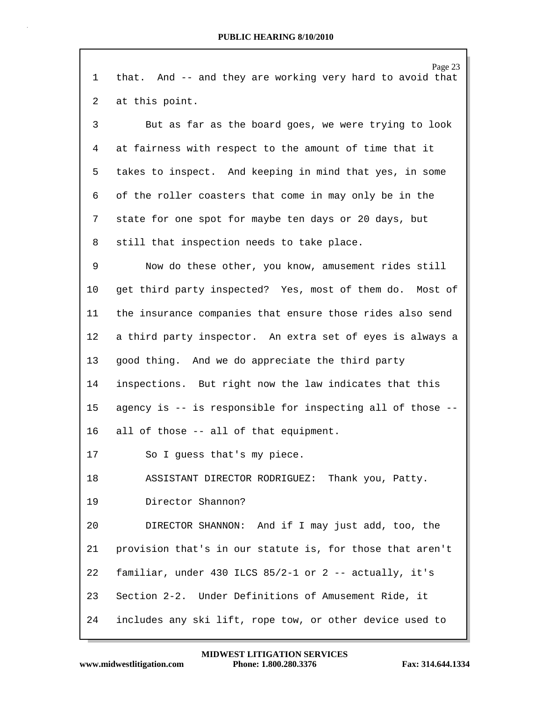|             | Page 23                                                    |
|-------------|------------------------------------------------------------|
| $\mathbf 1$ | that. And -- and they are working very hard to avoid that  |
| 2           | at this point.                                             |
| 3           | But as far as the board goes, we were trying to look       |
| 4           | at fairness with respect to the amount of time that it     |
| 5           | takes to inspect. And keeping in mind that yes, in some    |
| 6           | of the roller coasters that come in may only be in the     |
| 7           | state for one spot for maybe ten days or 20 days, but      |
| 8           | still that inspection needs to take place.                 |
| 9           | Now do these other, you know, amusement rides still        |
| 10          | get third party inspected? Yes, most of them do. Most of   |
| 11          | the insurance companies that ensure those rides also send  |
| 12          | a third party inspector. An extra set of eyes is always a  |
| 13          | good thing. And we do appreciate the third party           |
| 14          | inspections. But right now the law indicates that this     |
| 15          | agency is -- is responsible for inspecting all of those -- |
| 16          | all of those -- all of that equipment.                     |
| 17          | So I guess that's my piece.                                |
| 18          | ASSISTANT DIRECTOR RODRIGUEZ:<br>Thank you, Patty.         |
| 19          | Director Shannon?                                          |
| 20          | DIRECTOR SHANNON: And if I may just add, too, the          |
| 21          | provision that's in our statute is, for those that aren't  |
| 22          | familiar, under 430 ILCS 85/2-1 or 2 -- actually, it's     |
| 23          | Section 2-2. Under Definitions of Amusement Ride, it       |
| 24          | includes any ski lift, rope tow, or other device used to   |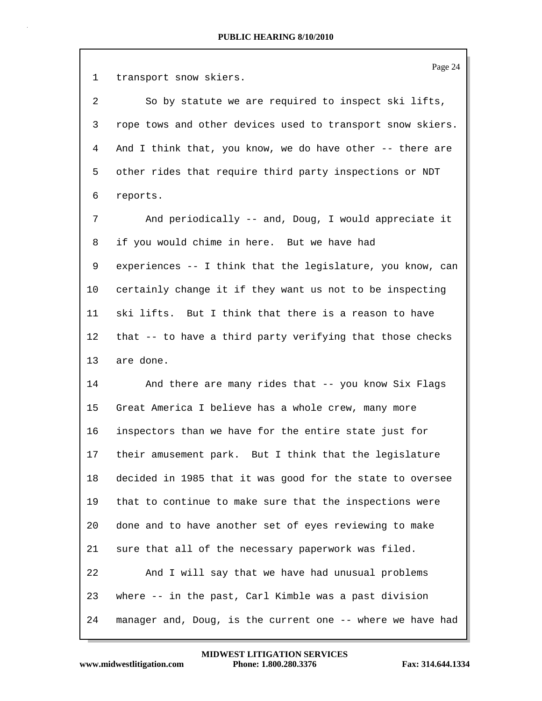Page 24 1 transport snow skiers. 2 So by statute we are required to inspect ski lifts, 3 rope tows and other devices used to transport snow skiers. 4 And I think that, you know, we do have other -- there are 5 other rides that require third party inspections or NDT 6 reports. 7 And periodically -- and, Doug, I would appreciate it 8 if you would chime in here. But we have had 9 experiences -- I think that the legislature, you know, can 10 certainly change it if they want us not to be inspecting 11 ski lifts. But I think that there is a reason to have 12 that -- to have a third party verifying that those checks 13 are done. 14 And there are many rides that -- you know Six Flags 15 Great America I believe has a whole crew, many more 16 inspectors than we have for the entire state just for 17 their amusement park. But I think that the legislature 18 decided in 1985 that it was good for the state to oversee 19 that to continue to make sure that the inspections were 20 done and to have another set of eyes reviewing to make 21 sure that all of the necessary paperwork was filed. 22 And I will say that we have had unusual problems 23 where -- in the past, Carl Kimble was a past division 24 manager and, Doug, is the current one -- where we have had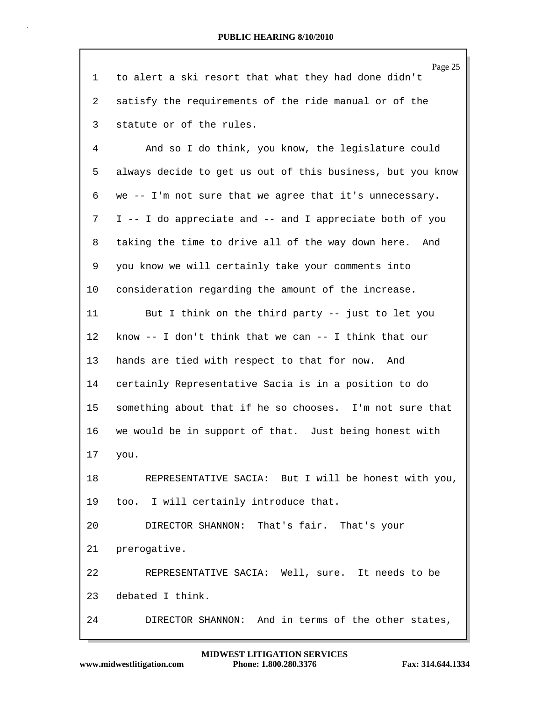Page 25 1 to alert a ski resort that what they had done didn't 2 satisfy the requirements of the ride manual or of the 3 statute or of the rules. 4 And so I do think, you know, the legislature could 5 always decide to get us out of this business, but you know 6 we -- I'm not sure that we agree that it's unnecessary. 7 I -- I do appreciate and -- and I appreciate both of you 8 taking the time to drive all of the way down here. And 9 you know we will certainly take your comments into 10 consideration regarding the amount of the increase. 11 But I think on the third party -- just to let you 12 know -- I don't think that we can -- I think that our 13 hands are tied with respect to that for now. And 14 certainly Representative Sacia is in a position to do 15 something about that if he so chooses. I'm not sure that 16 we would be in support of that. Just being honest with 17 you. 18 REPRESENTATIVE SACIA: But I will be honest with you, 19 too. I will certainly introduce that. 20 DIRECTOR SHANNON: That's fair. That's your 21 prerogative. 22 REPRESENTATIVE SACIA: Well, sure. It needs to be 23 debated I think. 24 DIRECTOR SHANNON: And in terms of the other states,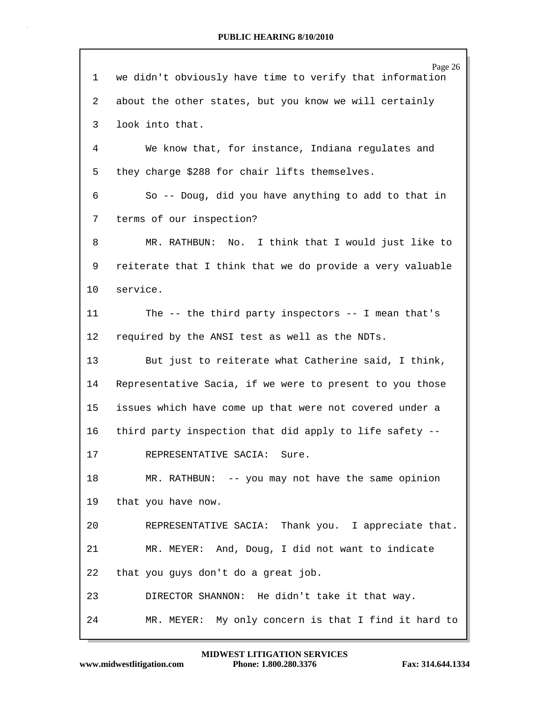| 1               | Page 26<br>we didn't obviously have time to verify that information |
|-----------------|---------------------------------------------------------------------|
|                 |                                                                     |
| 2               | about the other states, but you know we will certainly              |
| 3               | look into that.                                                     |
| 4               | We know that, for instance, Indiana regulates and                   |
| 5               | they charge \$288 for chair lifts themselves.                       |
| 6               | So -- Doug, did you have anything to add to that in                 |
| 7               | terms of our inspection?                                            |
| 8               | MR. RATHBUN: No. I think that I would just like to                  |
| 9               | reiterate that I think that we do provide a very valuable           |
| 10              | service.                                                            |
| 11              | The $--$ the third party inspectors $--$ I mean that's              |
| 12              | required by the ANSI test as well as the NDTs.                      |
| 13              | But just to reiterate what Catherine said, I think,                 |
| 14              | Representative Sacia, if we were to present to you those            |
| 15 <sub>1</sub> | issues which have come up that were not covered under a             |
| 16              | third party inspection that did apply to life safety --             |
| 17              | REPRESENTATIVE SACIA:<br>Sure                                       |
| 18              | MR. RATHBUN: -- you may not have the same opinion                   |
| 19              | that you have now.                                                  |
| 20              | REPRESENTATIVE SACIA: Thank you. I appreciate that.                 |
| 21              | MR. MEYER: And, Doug, I did not want to indicate                    |
| 22              | that you guys don't do a great job.                                 |
| 23              | DIRECTOR SHANNON: He didn't take it that way.                       |
| 24              | MR. MEYER: My only concern is that I find it hard to                |

Г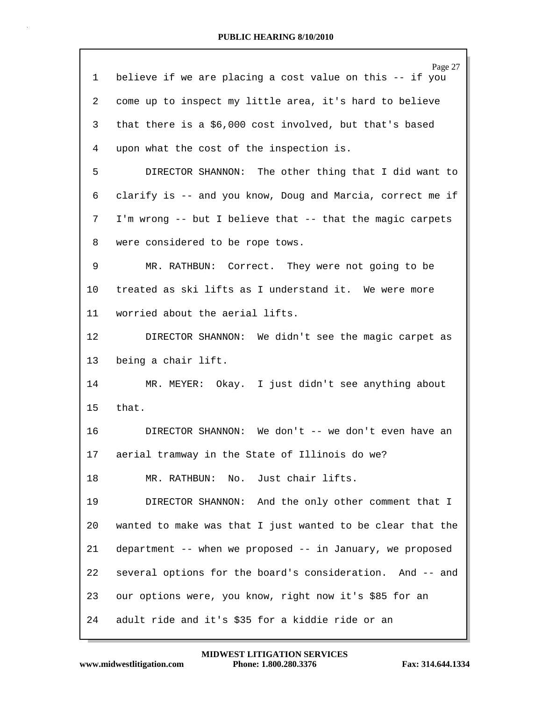| 1  | Page 27<br>believe if we are placing a cost value on this -- if you |
|----|---------------------------------------------------------------------|
| 2  | come up to inspect my little area, it's hard to believe             |
| 3  | that there is a \$6,000 cost involved, but that's based             |
| 4  | upon what the cost of the inspection is.                            |
| 5  | DIRECTOR SHANNON: The other thing that I did want to                |
| 6  | clarify is -- and you know, Doug and Marcia, correct me if          |
| 7  | I'm wrong -- but I believe that -- that the magic carpets           |
| 8  | were considered to be rope tows.                                    |
| 9  | MR. RATHBUN: Correct. They were not going to be                     |
| 10 | treated as ski lifts as I understand it. We were more               |
| 11 | worried about the aerial lifts.                                     |
| 12 | DIRECTOR SHANNON: We didn't see the magic carpet as                 |
| 13 | being a chair lift.                                                 |
| 14 | MR. MEYER: Okay. I just didn't see anything about                   |
| 15 | that.                                                               |
| 16 | DIRECTOR SHANNON: We don't -- we don't even have an                 |
| 17 | aerial tramway in the State of Illinois do we?                      |
| 18 | MR. RATHBUN: No. Just chair lifts.                                  |
| 19 | DIRECTOR SHANNON: And the only other comment that I                 |
| 20 | wanted to make was that I just wanted to be clear that the          |
| 21 | department -- when we proposed -- in January, we proposed           |
| 22 | several options for the board's consideration. And -- and           |
| 23 | our options were, you know, right now it's \$85 for an              |
| 24 | adult ride and it's \$35 for a kiddie ride or an                    |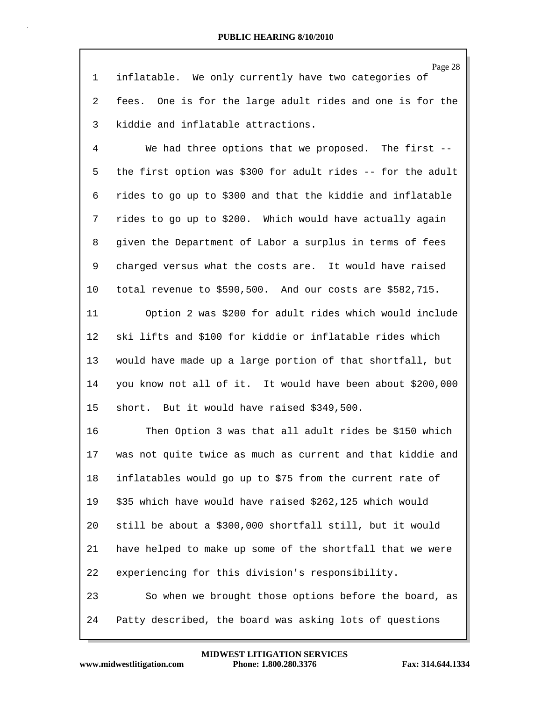Page 28 1 inflatable. We only currently have two categories of 2 fees. One is for the large adult rides and one is for the 3 kiddie and inflatable attractions. 4 We had three options that we proposed. The first -- 5 the first option was \$300 for adult rides -- for the adult 6 rides to go up to \$300 and that the kiddie and inflatable 7 rides to go up to \$200. Which would have actually again 8 given the Department of Labor a surplus in terms of fees 9 charged versus what the costs are. It would have raised 10 total revenue to \$590,500. And our costs are \$582,715. 11 Option 2 was \$200 for adult rides which would include 12 ski lifts and \$100 for kiddie or inflatable rides which 13 would have made up a large portion of that shortfall, but 14 you know not all of it. It would have been about \$200,000 15 short. But it would have raised \$349,500. 16 Then Option 3 was that all adult rides be \$150 which 17 was not quite twice as much as current and that kiddie and 18 inflatables would go up to \$75 from the current rate of 19 \$35 which have would have raised \$262,125 which would 20 still be about a \$300,000 shortfall still, but it would 21 have helped to make up some of the shortfall that we were 22 experiencing for this division's responsibility.

23 So when we brought those options before the board, as 24 Patty described, the board was asking lots of questions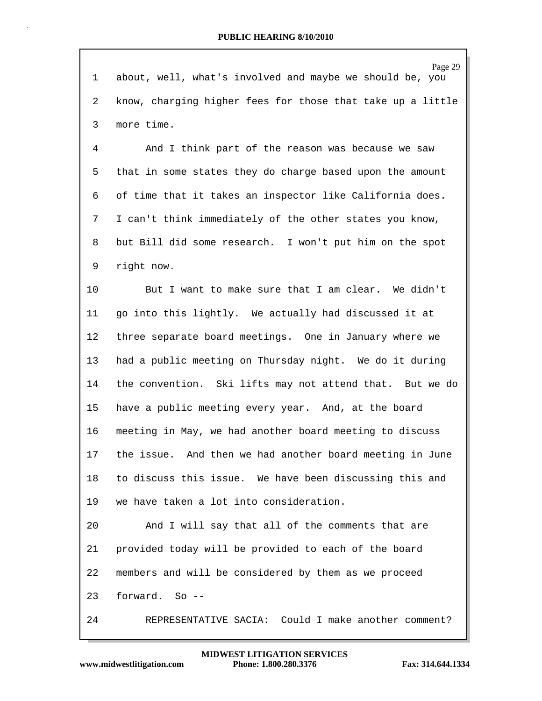Page 29 1 about, well, what's involved and maybe we should be, you 2 know, charging higher fees for those that take up a little 3 more time. 4 And I think part of the reason was because we saw 5 that in some states they do charge based upon the amount 6 of time that it takes an inspector like California does. 7 I can't think immediately of the other states you know, 8 but Bill did some research. I won't put him on the spot 9 right now. 10 But I want to make sure that I am clear. We didn't 11 go into this lightly. We actually had discussed it at 12 three separate board meetings. One in January where we 13 had a public meeting on Thursday night. We do it during 14 the convention. Ski lifts may not attend that. But we do 15 have a public meeting every year. And, at the board 16 meeting in May, we had another board meeting to discuss 17 the issue. And then we had another board meeting in June 18 to discuss this issue. We have been discussing this and 19 we have taken a lot into consideration. 20 And I will say that all of the comments that are 21 provided today will be provided to each of the board 22 members and will be considered by them as we proceed 23 forward. So -- 24 REPRESENTATIVE SACIA: Could I make another comment?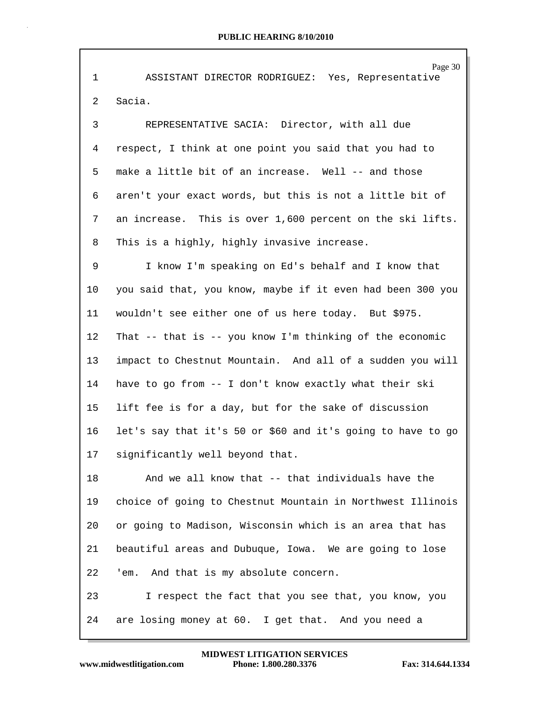|             | Page 30                                                     |
|-------------|-------------------------------------------------------------|
| $\mathbf 1$ | ASSISTANT DIRECTOR RODRIGUEZ: Yes, Representative           |
| 2           | Sacia.                                                      |
| 3           | REPRESENTATIVE SACIA: Director, with all due                |
| 4           | respect, I think at one point you said that you had to      |
| 5           | make a little bit of an increase. Well -- and those         |
| 6           | aren't your exact words, but this is not a little bit of    |
| 7           | an increase. This is over 1,600 percent on the ski lifts.   |
| 8           | This is a highly, highly invasive increase.                 |
| 9           | I know I'm speaking on Ed's behalf and I know that          |
| $10 \,$     | you said that, you know, maybe if it even had been 300 you  |
| 11          | wouldn't see either one of us here today. But \$975.        |
| 12          | That -- that is -- you know $I'm$ thinking of the economic  |
| 13          | impact to Chestnut Mountain. And all of a sudden you will   |
| 14          | have to go from -- I don't know exactly what their ski      |
| 15          | lift fee is for a day, but for the sake of discussion       |
| 16          | let's say that it's 50 or \$60 and it's going to have to go |
| 17          | significantly well beyond that.                             |
| 18          | And we all know that -- that individuals have the           |
| 19          | choice of going to Chestnut Mountain in Northwest Illinois  |
| 20          | or going to Madison, Wisconsin which is an area that has    |
| 21          | beautiful areas and Dubuque, Iowa. We are going to lose     |
| 22          | 'em. And that is my absolute concern.                       |
| 23          | I respect the fact that you see that, you know, you         |
| 24          | are losing money at 60. I get that. And you need a          |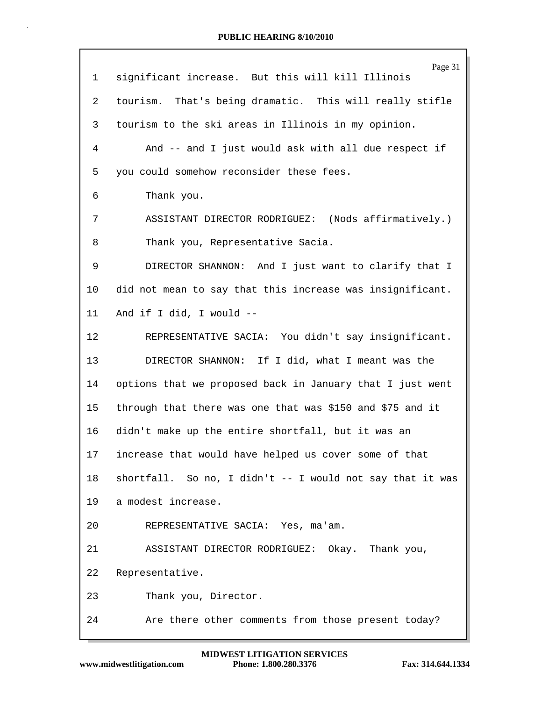| 1  | Page 31<br>significant increase. But this will kill Illinois |
|----|--------------------------------------------------------------|
| 2  | tourism. That's being dramatic. This will really stifle      |
| 3  | tourism to the ski areas in Illinois in my opinion.          |
| 4  | And -- and I just would ask with all due respect if          |
| 5  | you could somehow reconsider these fees.                     |
| 6  | Thank you.                                                   |
| 7  | ASSISTANT DIRECTOR RODRIGUEZ: (Nods affirmatively.)          |
| 8  | Thank you, Representative Sacia.                             |
| 9  | DIRECTOR SHANNON: And I just want to clarify that I          |
| 10 | did not mean to say that this increase was insignificant.    |
| 11 | And if I did, I would --                                     |
| 12 | REPRESENTATIVE SACIA: You didn't say insignificant.          |
| 13 | DIRECTOR SHANNON: If I did, what I meant was the             |
| 14 | options that we proposed back in January that I just went    |
| 15 | through that there was one that was \$150 and \$75 and it    |
| 16 | didn't make up the entire shortfall, but it was an           |
| 17 | increase that would have helped us cover some of that        |
| 18 | shortfall. So no, I didn't -- I would not say that it was    |
| 19 | a modest increase.                                           |
| 20 | REPRESENTATIVE SACIA: Yes, ma'am.                            |
| 21 | ASSISTANT DIRECTOR RODRIGUEZ: Okay. Thank you,               |
| 22 | Representative.                                              |
| 23 | Thank you, Director.                                         |
| 24 | Are there other comments from those present today?           |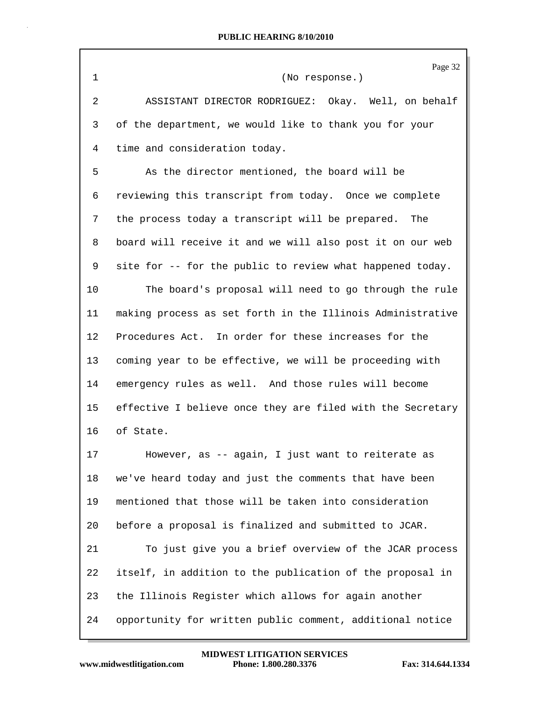Page 32 1 (No response.) 2 ASSISTANT DIRECTOR RODRIGUEZ: Okay. Well, on behalf 3 of the department, we would like to thank you for your 4 time and consideration today. 5 As the director mentioned, the board will be 6 reviewing this transcript from today. Once we complete 7 the process today a transcript will be prepared. The 8 board will receive it and we will also post it on our web 9 site for -- for the public to review what happened today. 10 The board's proposal will need to go through the rule 11 making process as set forth in the Illinois Administrative 12 Procedures Act. In order for these increases for the 13 coming year to be effective, we will be proceeding with 14 emergency rules as well. And those rules will become 15 effective I believe once they are filed with the Secretary 16 of State. 17 However, as -- again, I just want to reiterate as 18 we've heard today and just the comments that have been 19 mentioned that those will be taken into consideration 20 before a proposal is finalized and submitted to JCAR. 21 To just give you a brief overview of the JCAR process 22 itself, in addition to the publication of the proposal in 23 the Illinois Register which allows for again another 24 opportunity for written public comment, additional notice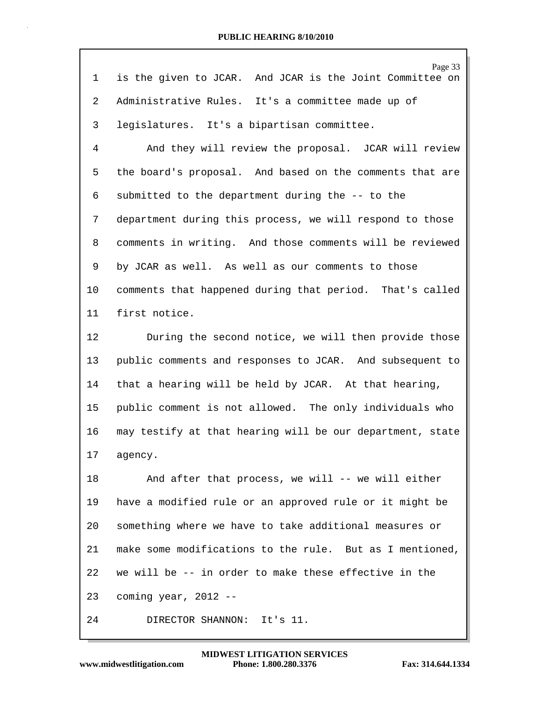| 1  | Page 33<br>is the given to JCAR. And JCAR is the Joint Committee on |
|----|---------------------------------------------------------------------|
| 2  | Administrative Rules. It's a committee made up of                   |
| 3  | legislatures. It's a bipartisan committee.                          |
| 4  | And they will review the proposal. JCAR will review                 |
| 5  | the board's proposal. And based on the comments that are            |
| 6  | submitted to the department during the -- to the                    |
| 7  | department during this process, we will respond to those            |
| 8  | comments in writing. And those comments will be reviewed            |
| 9  | by JCAR as well. As well as our comments to those                   |
| 10 | comments that happened during that period. That's called            |
| 11 | first notice.                                                       |
| 12 | During the second notice, we will then provide those                |
| 13 | public comments and responses to JCAR. And subsequent to            |
| 14 | that a hearing will be held by JCAR. At that hearing,               |
| 15 | public comment is not allowed. The only individuals who             |
| 16 | may testify at that hearing will be our department, state           |
| 17 | agency.                                                             |
| 18 | And after that process, we will -- we will either                   |
| 19 | have a modified rule or an approved rule or it might be             |
| 20 | something where we have to take additional measures or              |
| 21 | make some modifications to the rule. But as I mentioned,            |
| 22 | we will be -- in order to make these effective in the               |
| 23 | coming year, $2012 - -$                                             |
| 24 | DIRECTOR SHANNON: It's 11.                                          |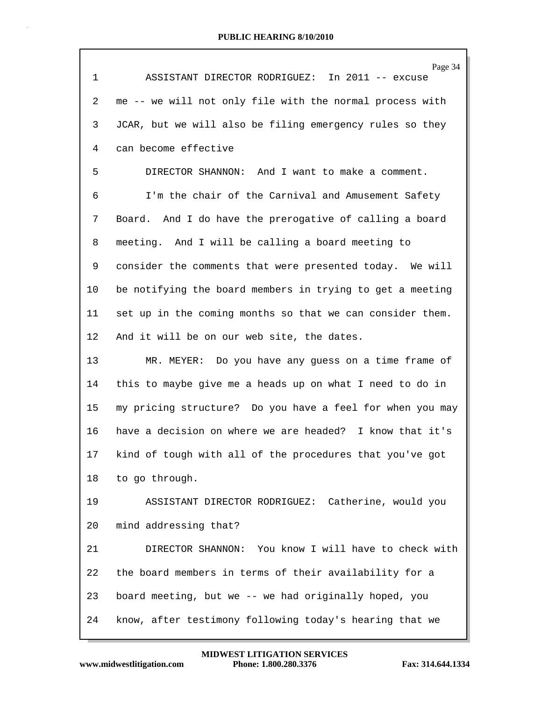| $\mathbf{1}$ | Page 34<br>ASSISTANT DIRECTOR RODRIGUEZ: In 2011 -- excuse |
|--------------|------------------------------------------------------------|
| 2            | me -- we will not only file with the normal process with   |
| 3            | JCAR, but we will also be filing emergency rules so they   |
| 4            | can become effective                                       |
| 5            | DIRECTOR SHANNON: And I want to make a comment.            |
| 6            | I'm the chair of the Carnival and Amusement Safety         |
| 7            | Board. And I do have the prerogative of calling a board    |
| 8            | meeting. And I will be calling a board meeting to          |
| 9            | consider the comments that were presented today. We will   |
| 10           | be notifying the board members in trying to get a meeting  |
| 11           | set up in the coming months so that we can consider them.  |
| 12           | And it will be on our web site, the dates.                 |
| 13           | MR. MEYER: Do you have any guess on a time frame of        |
| 14           | this to maybe give me a heads up on what I need to do in   |
| 15           | my pricing structure? Do you have a feel for when you may  |
| 16           | have a decision on where we are headed? I know that it's   |
| 17           | kind of tough with all of the procedures that you've got   |
| 18           | to go through.                                             |
| 19           | ASSISTANT DIRECTOR RODRIGUEZ: Catherine, would you         |
| 20           | mind addressing that?                                      |
| 21           | DIRECTOR SHANNON: You know I will have to check with       |
| 22           | the board members in terms of their availability for a     |
| 23           | board meeting, but we -- we had originally hoped, you      |
| 24           | know, after testimony following today's hearing that we    |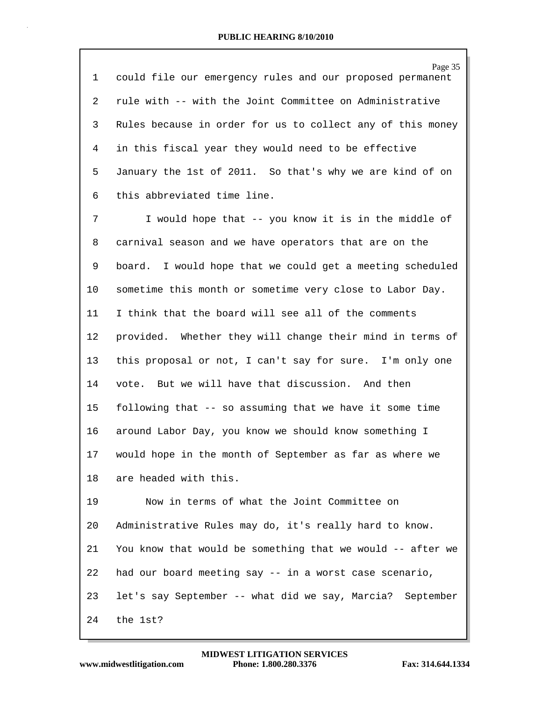| $\mathbf 1$    | Page 35<br>could file our emergency rules and our proposed permanent |
|----------------|----------------------------------------------------------------------|
| $\overline{a}$ | rule with -- with the Joint Committee on Administrative              |
| 3              | Rules because in order for us to collect any of this money           |
| 4              | in this fiscal year they would need to be effective                  |
| 5              | January the 1st of 2011. So that's why we are kind of on             |
| 6              | this abbreviated time line.                                          |
| 7              | I would hope that -- you know it is in the middle of                 |
| 8              | carnival season and we have operators that are on the                |
| 9              | board. I would hope that we could get a meeting scheduled            |
| 10             | sometime this month or sometime very close to Labor Day.             |
| 11             | I think that the board will see all of the comments                  |
| 12             | provided. Whether they will change their mind in terms of            |
| 13             | this proposal or not, I can't say for sure. I'm only one             |
| 14             | vote. But we will have that discussion. And then                     |
| 15             | following that -- so assuming that we have it some time              |
| 16             | around Labor Day, you know we should know something I                |
| 17             | would hope in the month of September as far as where we              |
| 18             | are headed with this.                                                |
| 19             | Now in terms of what the Joint Committee on                          |
| 20             | Administrative Rules may do, it's really hard to know.               |
| 21             | You know that would be something that we would -- after we           |
| 22             | had our board meeting say -- in a worst case scenario,               |
| 23             | let's say September -- what did we say, Marcia? September            |
| 24             | the 1st?                                                             |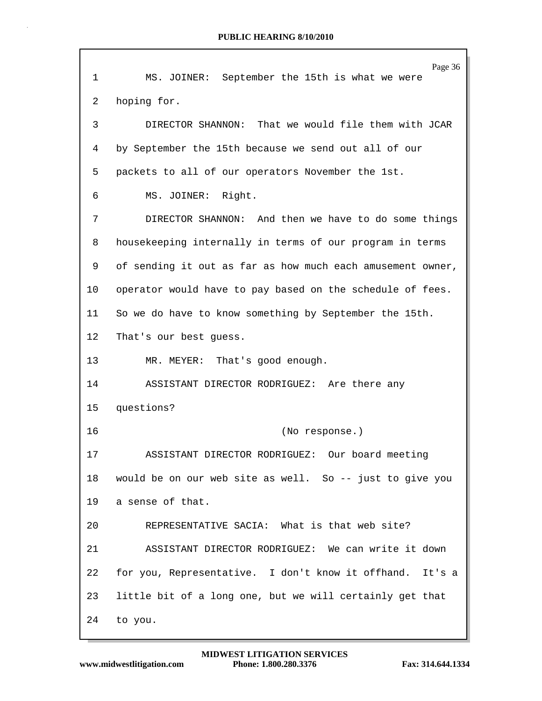| $\mathbf{1}$ | Page 36<br>MS. JOINER: September the 15th is what we were  |
|--------------|------------------------------------------------------------|
| 2            | hoping for.                                                |
| 3            | DIRECTOR SHANNON: That we would file them with JCAR        |
| 4            | by September the 15th because we send out all of our       |
| 5            | packets to all of our operators November the 1st.          |
| 6            | MS. JOINER: Right.                                         |
| 7            | DIRECTOR SHANNON: And then we have to do some things       |
| 8            | housekeeping internally in terms of our program in terms   |
| 9            | of sending it out as far as how much each amusement owner, |
| 10           | operator would have to pay based on the schedule of fees.  |
| 11           | So we do have to know something by September the 15th.     |
| 12           | That's our best guess.                                     |
| 13           | MR. MEYER: That's good enough.                             |
| 14           | ASSISTANT DIRECTOR RODRIGUEZ: Are there any                |
| 15           | questions?                                                 |
| 16           | (No response.)                                             |
| 17           | ASSISTANT DIRECTOR RODRIGUEZ: Our board meeting            |
| 18           | would be on our web site as well. So -- just to give you   |
| 19           | a sense of that.                                           |
| 20           | REPRESENTATIVE SACIA: What is that web site?               |
| 21           | ASSISTANT DIRECTOR RODRIGUEZ: We can write it down         |
| 22           | for you, Representative. I don't know it offhand. It's a   |
| 23           | little bit of a long one, but we will certainly get that   |
| 24           | to you.                                                    |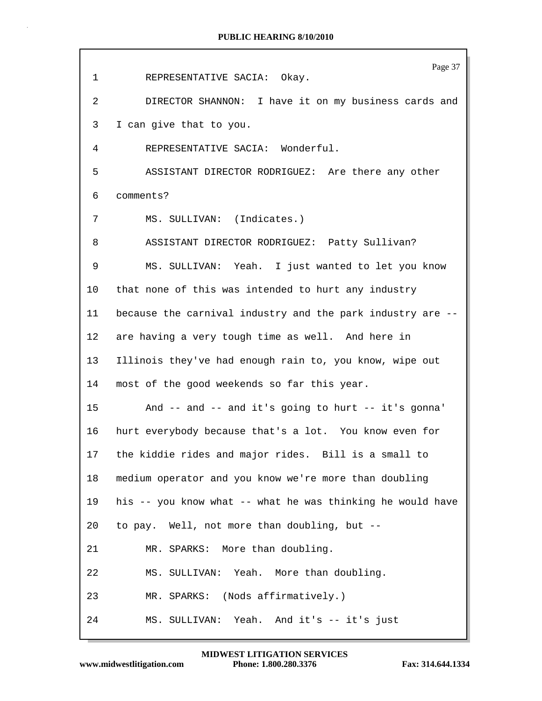| 1               | Page 37<br>REPRESENTATIVE SACIA: Okay.                     |
|-----------------|------------------------------------------------------------|
|                 |                                                            |
| 2               | DIRECTOR SHANNON: I have it on my business cards and       |
| 3               | I can give that to you.                                    |
| 4               | REPRESENTATIVE SACIA: Wonderful.                           |
| 5               | ASSISTANT DIRECTOR RODRIGUEZ: Are there any other          |
| 6               | comments?                                                  |
| 7               | MS. SULLIVAN: (Indicates.)                                 |
| 8               | ASSISTANT DIRECTOR RODRIGUEZ: Patty Sullivan?              |
| 9               | MS. SULLIVAN: Yeah. I just wanted to let you know          |
| 10              | that none of this was intended to hurt any industry        |
| 11              | because the carnival industry and the park industry are -- |
| 12              | are having a very tough time as well. And here in          |
| 13 <sup>°</sup> | Illinois they've had enough rain to, you know, wipe out    |
| 14              | most of the good weekends so far this year.                |
| 15              | And -- and -- and it's going to hurt -- it's gonna'        |
| 16              | hurt everybody because that's a lot. You know even for     |
| 17              | the kiddie rides and major rides. Bill is a small to       |
| 18              | medium operator and you know we're more than doubling      |
| 19              | his -- you know what -- what he was thinking he would have |
| 20              | to pay. Well, not more than doubling, but --               |
| 21              | MR. SPARKS: More than doubling.                            |
| 22              | MS. SULLIVAN: Yeah. More than doubling.                    |
| 23              | MR. SPARKS: (Nods affirmatively.)                          |
| 24              | MS. SULLIVAN: Yeah. And it's -- it's just                  |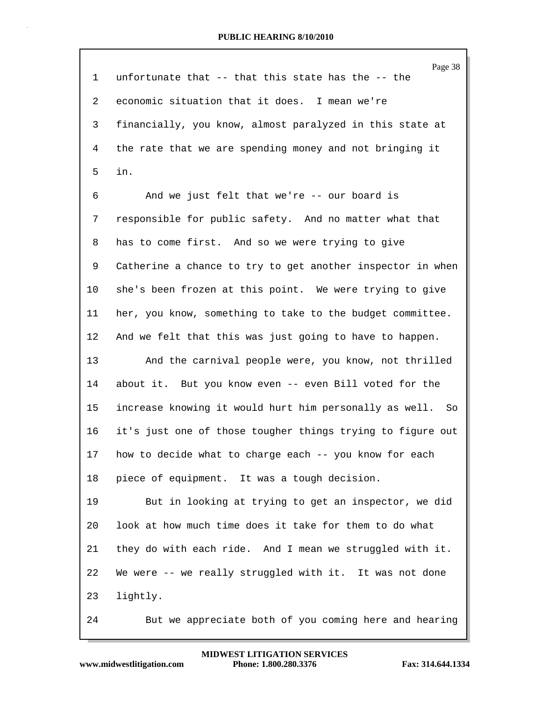|              | Page 38                                                    |
|--------------|------------------------------------------------------------|
| $\mathbf{1}$ | unfortunate that $-$ - that this state has the $-$ - the   |
| 2            | economic situation that it does. I mean we're              |
| 3            | financially, you know, almost paralyzed in this state at   |
| 4            | the rate that we are spending money and not bringing it    |
| 5            | in.                                                        |
| 6            | And we just felt that we're -- our board is                |
| 7            | responsible for public safety. And no matter what that     |
| 8            | has to come first. And so we were trying to give           |
| 9            | Catherine a chance to try to get another inspector in when |
| $10 \,$      | she's been frozen at this point. We were trying to give    |
| 11           | her, you know, something to take to the budget committee.  |
| 12           | And we felt that this was just going to have to happen.    |
| 13           | And the carnival people were, you know, not thrilled       |
| 14           | about it. But you know even -- even Bill voted for the     |
| 15           | increase knowing it would hurt him personally as well. So  |
| 16           | it's just one of those tougher things trying to figure out |
| 17           | how to decide what to charge each -- you know for each     |
| 18           | piece of equipment. It was a tough decision.               |
| 19           | But in looking at trying to get an inspector, we did       |
| 20           | look at how much time does it take for them to do what     |
| 21           | they do with each ride. And I mean we struggled with it.   |
| 22           | We were -- we really struggled with it. It was not done    |
| 23           | lightly.                                                   |
| 24           | But we appreciate both of you coming here and hearing      |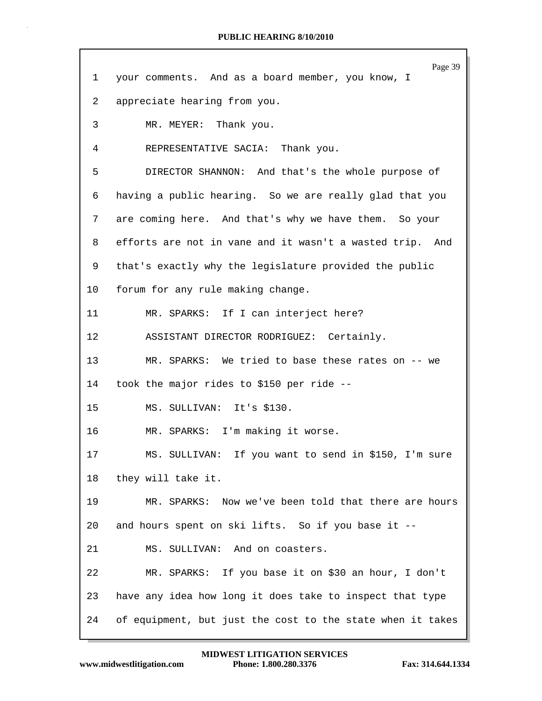| 1               | Page 39<br>your comments. And as a board member, you know, I |
|-----------------|--------------------------------------------------------------|
| 2               | appreciate hearing from you.                                 |
|                 |                                                              |
| 3               | MR. MEYER: Thank you.                                        |
| 4               | REPRESENTATIVE SACIA: Thank you.                             |
| 5               | DIRECTOR SHANNON: And that's the whole purpose of            |
| 6               | having a public hearing. So we are really glad that you      |
| 7               | are coming here. And that's why we have them. So your        |
| 8               | efforts are not in vane and it wasn't a wasted trip. And     |
| 9               | that's exactly why the legislature provided the public       |
| 10              | forum for any rule making change.                            |
| 11              | MR. SPARKS: If I can interject here?                         |
| 12              | ASSISTANT DIRECTOR RODRIGUEZ: Certainly.                     |
| 13              | MR. SPARKS: We tried to base these rates on -- we            |
| 14              | took the major rides to \$150 per ride --                    |
| 15 <sub>2</sub> | MS. SULLIVAN: It's \$130.                                    |
| 16              | MR. SPARKS: I'm making it worse.                             |
| 17              | MS. SULLIVAN: If you want to send in \$150, I'm sure         |
| 18              | they will take it.                                           |
| 19              | MR. SPARKS: Now we've been told that there are hours         |
| 20              | and hours spent on ski lifts. So if you base it --           |
| 21              | MS. SULLIVAN: And on coasters.                               |
| 22              | MR. SPARKS: If you base it on \$30 an hour, I don't          |
| 23              | have any idea how long it does take to inspect that type     |
| 24              | of equipment, but just the cost to the state when it takes   |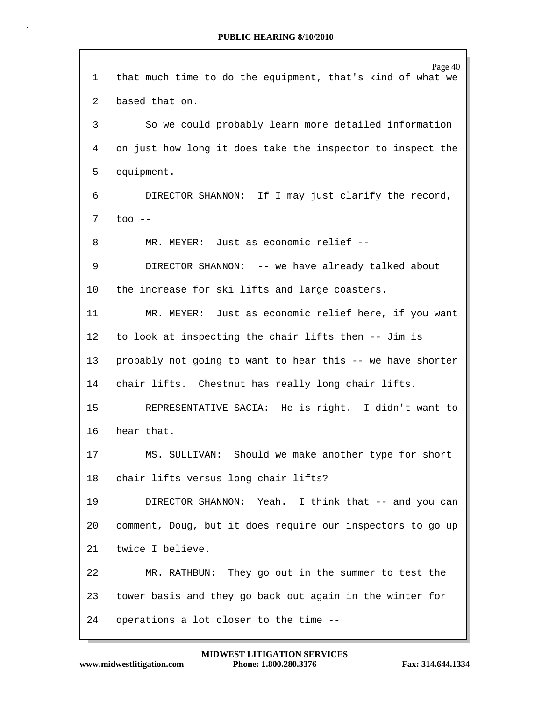| 1  | Page 40<br>that much time to do the equipment, that's kind of what we |
|----|-----------------------------------------------------------------------|
| 2  | based that on.                                                        |
| 3  | So we could probably learn more detailed information                  |
| 4  | on just how long it does take the inspector to inspect the            |
| 5  | equipment.                                                            |
| 6  | DIRECTOR SHANNON: If I may just clarify the record,                   |
| 7  | $\text{too}$ --                                                       |
| 8  | MR. MEYER: Just as economic relief --                                 |
| 9  | DIRECTOR SHANNON: -- we have already talked about                     |
| 10 | the increase for ski lifts and large coasters.                        |
| 11 | MR. MEYER: Just as economic relief here, if you want                  |
| 12 | to look at inspecting the chair lifts then -- Jim is                  |
| 13 | probably not going to want to hear this -- we have shorter            |
| 14 | chair lifts. Chestnut has really long chair lifts.                    |
| 15 | REPRESENTATIVE SACIA: He is right. I didn't want to                   |
| 16 | hear that.                                                            |
| 17 | MS. SULLIVAN: Should we make another type for short                   |
| 18 | chair lifts versus long chair lifts?                                  |
| 19 | DIRECTOR SHANNON: Yeah. I think that -- and you can                   |
| 20 | comment, Doug, but it does require our inspectors to go up            |
| 21 | twice I believe.                                                      |
| 22 | MR. RATHBUN: They go out in the summer to test the                    |
| 23 | tower basis and they go back out again in the winter for              |
| 24 | operations a lot closer to the time --                                |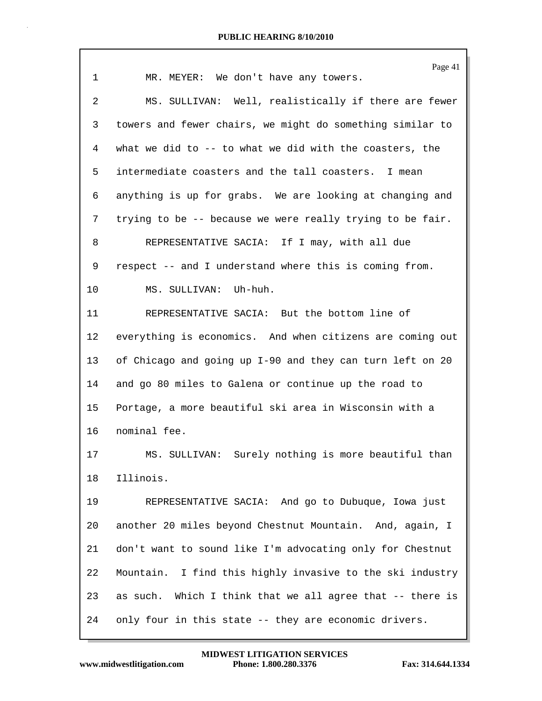| $\mathbf{1}$   | Page 41<br>MR. MEYER: We don't have any towers.           |
|----------------|-----------------------------------------------------------|
| $\overline{a}$ | MS. SULLIVAN: Well, realistically if there are fewer      |
| 3              | towers and fewer chairs, we might do something similar to |
| 4              | what we did to -- to what we did with the coasters, the   |
| 5              | intermediate coasters and the tall coasters. I mean       |
| 6              | anything is up for grabs. We are looking at changing and  |
| 7              | trying to be -- because we were really trying to be fair. |
| 8              | REPRESENTATIVE SACIA: If I may, with all due              |
| 9              | respect -- and I understand where this is coming from.    |
| 10             | MS. SULLIVAN: Uh-huh.                                     |
| 11             | REPRESENTATIVE SACIA: But the bottom line of              |
| 12             | everything is economics. And when citizens are coming out |
| 13             | of Chicago and going up I-90 and they can turn left on 20 |
| 14             | and go 80 miles to Galena or continue up the road to      |
| 15             | Portage, a more beautiful ski area in Wisconsin with a    |
| 16             | nominal fee.                                              |
| 17             | MS. SULLIVAN: Surely nothing is more beautiful than       |
| 18             | Illinois.                                                 |
| 19             | REPRESENTATIVE SACIA: And go to Dubuque, Iowa just        |
| 20             | another 20 miles beyond Chestnut Mountain. And, again, I  |
| 21             | don't want to sound like I'm advocating only for Chestnut |
| 22             | Mountain. I find this highly invasive to the ski industry |
| 23             | as such. Which I think that we all agree that -- there is |
| 24             | only four in this state -- they are economic drivers.     |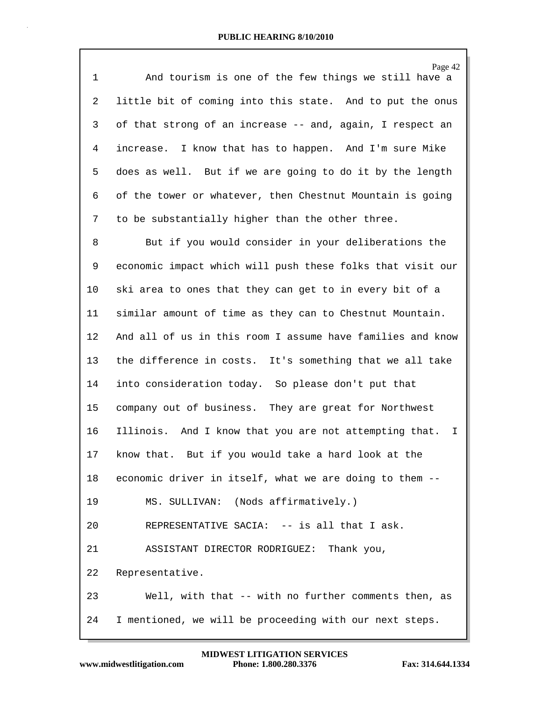| $\mathbf{1}$ | Page 42<br>And tourism is one of the few things we still have a |
|--------------|-----------------------------------------------------------------|
| 2            | little bit of coming into this state. And to put the onus       |
|              |                                                                 |
| 3            | of that strong of an increase -- and, again, I respect an       |
| 4            | increase. I know that has to happen. And I'm sure Mike          |
| 5            | does as well. But if we are going to do it by the length        |
| 6            | of the tower or whatever, then Chestnut Mountain is going       |
| 7            | to be substantially higher than the other three.                |
| 8            | But if you would consider in your deliberations the             |
| 9            | economic impact which will push these folks that visit our      |
| 10           | ski area to ones that they can get to in every bit of a         |
| 11           | similar amount of time as they can to Chestnut Mountain.        |
| 12           | And all of us in this room I assume have families and know      |
| 13           | the difference in costs. It's something that we all take        |
| 14           | into consideration today. So please don't put that              |
| 15           | company out of business. They are great for Northwest           |
| 16           | Illinois. And I know that you are not attempting that.<br>I.    |
| 17           | know that. But if you would take a hard look at the             |
| 18           | economic driver in itself, what we are doing to them --         |
| 19           | MS. SULLIVAN: (Nods affirmatively.)                             |
| 20           | REPRESENTATIVE SACIA: -- is all that I ask.                     |
| 21           | Thank you,<br>ASSISTANT DIRECTOR RODRIGUEZ:                     |
| 22           | Representative.                                                 |
| 23           | Well, with that -- with no further comments then, as            |
| 24           | I mentioned, we will be proceeding with our next steps.         |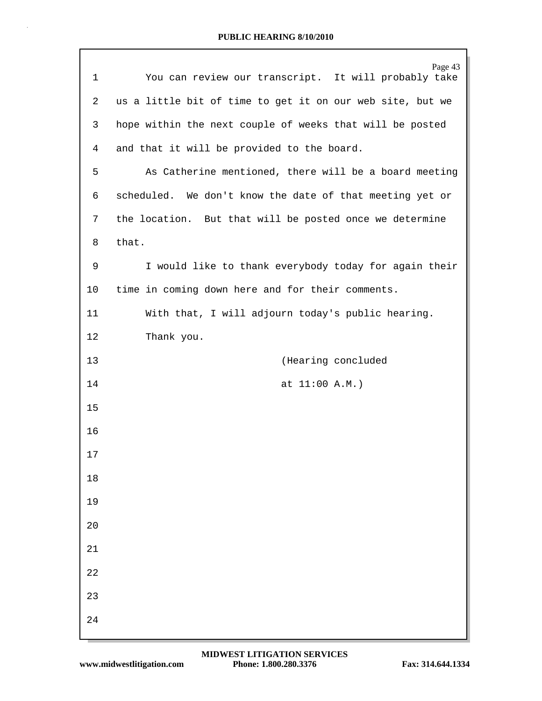| 1    | Page 43<br>You can review our transcript. It will probably take |
|------|-----------------------------------------------------------------|
| 2    | us a little bit of time to get it on our web site, but we       |
| 3    | hope within the next couple of weeks that will be posted        |
| 4    | and that it will be provided to the board.                      |
| 5    | As Catherine mentioned, there will be a board meeting           |
| 6    | scheduled. We don't know the date of that meeting yet or        |
| 7    | the location. But that will be posted once we determine         |
| 8    | that.                                                           |
| 9    | I would like to thank everybody today for again their           |
| $10$ | time in coming down here and for their comments.                |
| 11   | With that, I will adjourn today's public hearing.               |
| 12   | Thank you.                                                      |
| 13   | (Hearing concluded                                              |
| 14   | at $11:00 A.M.$                                                 |
| 15   |                                                                 |
| 16   |                                                                 |
| 17   |                                                                 |
| 18   |                                                                 |
| 19   |                                                                 |
| 20   |                                                                 |
| 21   |                                                                 |
| 22   |                                                                 |
| 23   |                                                                 |
| 24   |                                                                 |

Г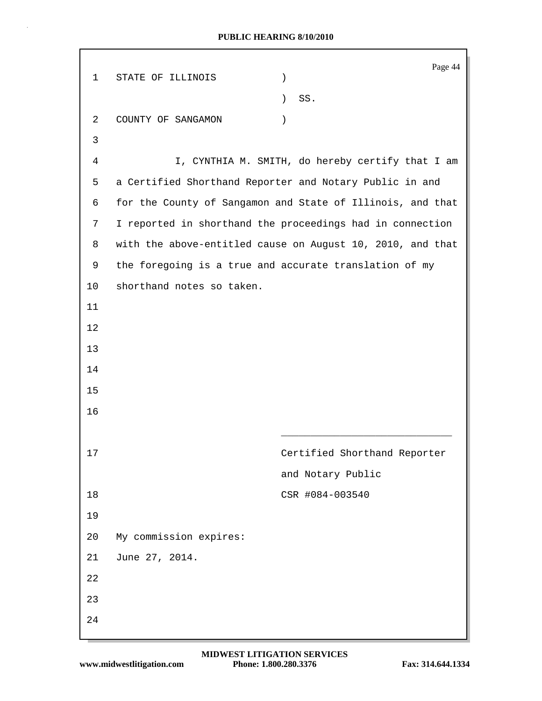|                |                           | Page 44                                                    |
|----------------|---------------------------|------------------------------------------------------------|
| $\mathbf 1$    | STATE OF ILLINOIS         | $\lambda$                                                  |
|                |                           | SS.<br>$\left( \right)$                                    |
| 2              | COUNTY OF SANGAMON        | $\lambda$                                                  |
| 3              |                           |                                                            |
| $\overline{4}$ |                           | I, CYNTHIA M. SMITH, do hereby certify that I am           |
| 5              |                           | a Certified Shorthand Reporter and Notary Public in and    |
| 6              |                           | for the County of Sangamon and State of Illinois, and that |
| 7              |                           | I reported in shorthand the proceedings had in connection  |
| 8              |                           | with the above-entitled cause on August 10, 2010, and that |
| 9              |                           | the foregoing is a true and accurate translation of my     |
| 10             | shorthand notes so taken. |                                                            |
| 11             |                           |                                                            |
| 12             |                           |                                                            |
| 13             |                           |                                                            |
| 14             |                           |                                                            |
| 15             |                           |                                                            |
| 16             |                           |                                                            |
|                |                           |                                                            |
| 17             |                           | Certified Shorthand Reporter                               |
|                |                           | and Notary Public                                          |
| 18             |                           | CSR #084-003540                                            |
| 19             |                           |                                                            |
| 20             | My commission expires:    |                                                            |
| 21             | June 27, 2014.            |                                                            |
| 22             |                           |                                                            |
| 23             |                           |                                                            |
| 24             |                           |                                                            |
|                |                           |                                                            |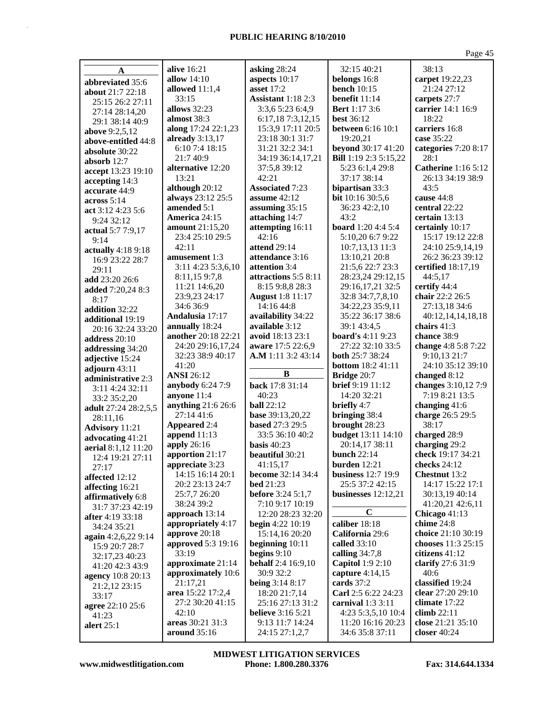Page 45

| A                        | <b>alive</b> 16:21         | asking 28:24              | 32:15 40:21                  | 38:13                      |
|--------------------------|----------------------------|---------------------------|------------------------------|----------------------------|
|                          | allow $14:10$              | aspects 10:17             | belongs 16:8                 | carpet 19:22,23            |
| abbreviated 35:6         |                            |                           | bench $10:15$                | 21:24 27:12                |
| about 21:7 22:18         | allowed $11:1,4$           | asset 17:2                |                              |                            |
| 25:15 26:2 27:11         | 33:15                      | <b>Assistant</b> 1:18 2:3 | benefit $11:14$              | carpets 27:7               |
| 27:14 28:14,20           | allows 32:23               | 3:3,6 5:23 6:4,9          | <b>Bert</b> 1:17 3:6         | carrier 14:1 16:9          |
| 29:1 38:14 40:9          | almost 38:3                | 6:17,18 7:3,12,15         | <b>best</b> 36:12            | 18:22                      |
| above 9:2,5,12           | along 17:24 22:1,23        | 15:3,9 17:11 20:5         | <b>between</b> 6:16 10:1     | carriers 16:8              |
| above-entitled 44:8      | already $3:13,17$          | 23:18 30:1 31:7           | 19:20,21                     | case 35:22                 |
|                          | 6:10 7:4 18:15             | 31:21 32:2 34:1           | beyond 30:17 41:20           | categories 7:20 8:17       |
| absolute 30:22           | 21:7 40:9                  | 34:19 36:14,17,21         | <b>Bill</b> 1:19 2:3 5:15,22 | 28:1                       |
| absorb $12:7$            | alternative 12:20          | 37:5,8 39:12              | 5:23 6:1,4 29:8              | <b>Catherine</b> 1:16 5:12 |
| accept 13:23 19:10       |                            |                           |                              |                            |
| accepting 14:3           | 13:21                      | 42:21                     | 37:17 38:14                  | 26:13 34:19 38:9           |
| accurate 44:9            | although 20:12             | <b>Associated 7:23</b>    | bipartisan 33:3              | 43:5                       |
| across 5:14              | always 23:12 25:5          | assume $42:12$            | bit 10:16 30:5,6             | cause 44:8                 |
| act 3:12 4:23 5:6        | amended 5:1                | assuming 35:15            | 36:23 42:2,10                | central 22:22              |
| 9:24 32:12               | America 24:15              | attaching 14:7            | 43:2                         | certain 13:13              |
| actual 5:7 7:9,17        | amount 21:15,20            | attempting 16:11          | board 1:20 4:4 5:4           | certainly 10:17            |
| 9:14                     | 23:4 25:10 29:5            | 42:16                     | 5:10,20 6:7 9:22             | 15:17 19:12 22:8           |
|                          | 42:11                      | attend 29:14              | 10:7,13,13 11:3              | 24:10 25:9,14,19           |
| actually 4:18 9:18       | amusement 1:3              | attendance 3:16           | 13:10,21 20:8                | 26:2 36:23 39:12           |
| 16:9 23:22 28:7          | 3:11 4:23 5:3,6,10         | attention 3:4             | 21:5,6 22:7 23:3             | certified 18:17,19         |
| 29:11                    |                            |                           |                              |                            |
| add 23:20 26:6           | 8:11,15 9:7,8              | attractions 5:5 8:11      | 28:23,24 29:12,15            | 44:5,17                    |
| added 7:20,24 8:3        | 11:21 14:6,20              | 8:15 9:8,8 28:3           | 29:16,17,21 32:5             | certify 44:4               |
| 8:17                     | 23:9,23 24:17              | <b>August</b> 1:8 11:17   | 32:8 34:7,7,8,10             | chair 22:2 26:5            |
| addition 32:22           | 34:6 36:9                  | 14:16 44:8                | 34:22,23 35:9,11             | 27:13,18 34:6              |
| additional 19:19         | Andalusia 17:17            | availability 34:22        | 35:22 36:17 38:6             | 40:12,14,14,18,18          |
| 20:16 32:24 33:20        | annually 18:24             | available 3:12            | 39:1 43:4,5                  | chairs $41:3$              |
| address 20:10            | <b>another</b> 20:18 22:21 | avoid 18:13 23:1          | board's 4:11 9:23            | chance 38:9                |
| addressing 34:20         | 24:20 29:16,17,24          | aware 17:5 22:6,9         | 27:22 32:10 33:5             | change 4:8 5:8 7:22        |
|                          | 32:23 38:9 40:17           | A.M 1:11 3:2 43:14        | <b>both</b> 25:7 38:24       | 9:10,13 21:7               |
| adjective 15:24          | 41:20                      |                           | <b>bottom</b> 18:2 41:11     | 24:10 35:12 39:10          |
| adjourn 43:11            | <b>ANSI</b> 26:12          | B                         | <b>Bridge 20:7</b>           | changed 8:12               |
| administrative 2:3       | anybody 6:24 7:9           | back 17:8 31:14           | <b>brief</b> 9:19 11:12      | changes 3:10,12 7:9        |
| 3:11 4:24 32:11          | anyone 11:4                | 40:23                     | 14:20 32:21                  | 7:19 8:21 13:5             |
| 33:2 35:2,20             |                            | ball $22:12$              |                              |                            |
| adult 27:24 28:2,5,5     | anything 21:6 26:6         |                           | briefly 4:7                  | changing 41:6              |
| 28:11,16                 | 27:1441:6                  | base 39:13,20,22          | bringing 38:4                | charge 26:5 29:5           |
| <b>Advisory</b> 11:21    | <b>Appeared 2:4</b>        | based 27:3 29:5           | brought 28:23                | 38:17                      |
| advocating 41:21         | append $11:13$             | 33:5 36:10 40:2           | <b>budget</b> 13:11 14:10    | charged 28:9               |
| aerial 8:1,12 11:20      | apply 26:16                | basis $40:23$             | 20:14,17 38:11               | charging 29:2              |
| 12:4 19:21 27:11         | apportion 21:17            | beautiful 30:21           | bunch $22:14$                | check 19:17 34:21          |
| 27:17                    | appreciate 3:23            | 41:15,17                  | burden $12:21$               | checks 24:12               |
| affected 12:12           | 14:15 16:14 20:1           | become 32:14 34:4         | <b>business</b> 12:7 19:9    | <b>Chestnut</b> 13:2       |
|                          | 20:2 23:13 24:7            | <b>bed</b> 21:23          | 25:5 37:2 42:15              | 14:17 15:22 17:1           |
| affecting 16:21          | 25:7,7 26:20               | <b>before</b> 3:24 5:1,7  | businesses $12:12,21$        | 30:13,19 40:14             |
| affirmatively 6:8        | 38:24 39:2                 | 7:10 9:17 10:19           |                              | 41:20,21 42:6,11           |
| 31:7 37:23 42:19         | approach 13:14             | 12:20 28:23 32:20         | $\mathbf C$                  | Chicago 41:13              |
| after 4:19 33:18         |                            |                           |                              |                            |
| 34:24 35:21              | appropriately 4:17         | <b>begin</b> 4:22 10:19   | caliber 18:18                | chime 24:8                 |
| again 4:2,6,22 9:14      | approve 20:18              | 15:14,16 20:20            | California 29:6              | choice 21:10 30:19         |
| 15:9 20:7 28:7           | approved 5:3 19:16         | beginning $10:11$         | called 33:10                 | chooses 11:3 25:15         |
| 32:17,23 40:23           | 33:19                      | begins $9:10$             | calling $34:7,8$             | citizens $41:12$           |
| 41:20 42:3 43:9          | approximate 21:14          | <b>behalf</b> 2:4 16:9,10 | <b>Capitol</b> 1:9 2:10      | clarify 27:6 31:9          |
| <b>agency</b> 10:8 20:13 | approximately 10:6         | 30:9 32:2                 | capture $4:14,15$            | 40:6                       |
| 21:2,12 23:15            | 21:17,21                   | being $3:148:17$          | cards $37:2$                 | classified 19:24           |
|                          | area 15:22 17:2,4          | 18:20 21:7,14             | Carl 2:5 6:22 24:23          | clear 27:20 29:10          |
| 33:17                    | 27:2 30:20 41:15           | 25:16 27:13 31:2          | carnival 1:3 3:11            | climate 17:22              |
| agree 22:10 25:6         | 42:10                      | <b>believe</b> 3:16 5:21  | 4:23 5:3,5,10 10:4           | climb 22:11                |
| 41:23                    | areas 30:21 31:3           | 9:13 11:7 14:24           | 11:20 16:16 20:23            | close 21:21 35:10          |
| alert 25:1               |                            |                           |                              |                            |
|                          | around 35:16               | 24:15 27:1,2,7            | 34:6 35:8 37:11              | closer 40:24               |

**www.midwestlitigation.com Phone: 1.800.280.3376 Fax: 314.644.1334 MIDWEST LITIGATION SERVICES**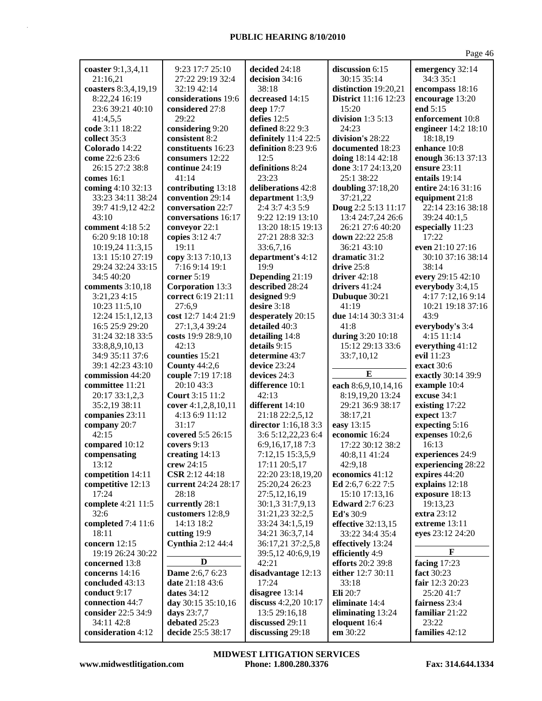|                                  | $9:23$ 17:7 25:10                  | decided 24:18                           | discussion 6:15           | emergency 32:14                     |
|----------------------------------|------------------------------------|-----------------------------------------|---------------------------|-------------------------------------|
| coaster 9:1,3,4,11<br>21:16,21   | 27:22 29:19 32:4                   | decision 34:16                          | 30:15 35:14               | 34:3 35:1                           |
| coasters 8:3,4,19,19             | 32:19 42:14                        | 38:18                                   | distinction 19:20,21      | encompass 18:16                     |
| 8:22,24 16:19                    | considerations 19:6                | decreased 14:15                         | District 11:16 12:23      | encourage 13:20                     |
| 23:6 39:21 40:10                 | considered 27:8                    | deep 17:7                               | 15:20                     | end 5:15                            |
| 41:4,5,5                         | 29:22                              | defies 12:5                             | division 1:3 5:13         | enforcement 10:8                    |
| code 3:11 18:22                  | considering 9:20                   | defined 8:22 9:3                        | 24:23                     | engineer 14:2 18:10                 |
| collect 35:3                     | consistent 8:2                     | definitely 11:4 22:5                    | division's 28:22          | 18:18,19                            |
| Colorado 14:22                   | constituents 16:23                 | definition 8:23 9:6                     | documented 18:23          | enhance 10:8                        |
| come 22:6 23:6                   | consumers 12:22                    | 12:5                                    | doing 18:14 42:18         | enough 36:13 37:13                  |
| 26:15 27:2 38:8                  | continue 24:19                     | definitions 8:24                        | done 3:17 24:13,20        | ensure $23:11$                      |
| comes 16:1                       | 41:14                              | 23:23                                   | 25:1 38:22                | entails 19:14                       |
| coming 4:10 32:13                | contributing 13:18                 | deliberations 42:8                      | doubling $37:18,20$       | entire 24:16 31:16                  |
| 33:23 34:11 38:24                | convention 29:14                   | department 1:3,9                        | 37:21,22                  | equipment 21:8                      |
| 39:7 41:9,12 42:2                | conversation 22:7                  | 2:4 3:7 4:3 5:9                         | Doug 2:2 5:13 11:17       | 22:14 23:16 38:18                   |
| 43:10                            | conversations 16:17                | 9:22 12:19 13:10                        | 13:4 24:7,24 26:6         | 39:24 40:1,5                        |
| comment 4:18 5:2                 | conveyor 22:1                      | 13:20 18:15 19:13                       | 26:21 27:6 40:20          | especially 11:23                    |
| 6:20 9:18 10:18                  | copies 3:12 4:7                    | 27:21 28:8 32:3                         | down 22:22 25:8           | 17:22                               |
| 10:19,24 11:3,15                 | 19:11                              | 33:6,7,16                               | 36:21 43:10               | even 21:10 27:16                    |
| 13:1 15:10 27:19                 | copy 3:13 7:10,13                  | department's 4:12                       | dramatic 31:2             | 30:10 37:16 38:14                   |
| 29:24 32:24 33:15                | 7:16 9:14 19:1                     | 19:9                                    | drive $25:8$              | 38:14                               |
| 34:5 40:20                       | corner 5:19                        | Depending 21:19                         | driver $42:18$            | every 29:15 42:10                   |
| comments 3:10,18                 | Corporation 13:3                   | described 28:24                         | drivers $41:24$           | everybody 3:4,15                    |
| 3:21,23 4:15                     | correct 6:19 21:11                 | designed 9:9                            | Dubuque 30:21             | 4:17 7:12,16 9:14                   |
| 10:23 11:5,10                    | 27:6,9                             | desire 3:18                             | 41:19                     | 10:21 19:18 37:16                   |
| 12:24 15:1,12,13                 | cost 12:7 14:4 21:9                | desperately 20:15                       | due 14:14 30:3 31:4       | 43:9                                |
| 16:5 25:9 29:20                  | 27:1,3,4 39:24                     | detailed 40:3                           | 41:8                      | everybody's 3:4                     |
| 31:24 32:18 33:5                 | costs 19:9 28:9,10                 | detailing 14:8                          | during 3:20 10:18         | 4:15 11:14                          |
| 33:8,8,9,10,13                   | 42:13                              | details 9:15                            | 15:12 29:13 33:6          | everything 41:12                    |
| 34:9 35:11 37:6                  | counties 15:21                     | determine 43:7                          | 33:7,10,12                | evil $11:23$                        |
| 39:1 42:23 43:10                 | <b>County 44:2,6</b>               | device 23:24                            |                           | exact 30:6                          |
|                                  |                                    |                                         |                           |                                     |
|                                  |                                    |                                         | ${\bf E}$                 |                                     |
| commission 44:20                 | couple 7:19 17:18                  | devices 24:3                            |                           | exactly 30:14 39:9                  |
| committee 11:21                  | 20:10 43:3                         | difference 10:1                         | each 8:6,9,10,14,16       | example 10:4                        |
| 20:17 33:1,2,3                   | Court 3:15 11:2                    | 42:13                                   | 8:19,19,20 13:24          | excuse 34:1                         |
| 35:2,19 38:11                    | cover 4:1,2,8,10,11                | different 14:10                         | 29:21 36:9 38:17          | existing 17:22                      |
| companies 23:11                  | 4:13 6:9 11:12<br>31:17            | 21:18 22:2,5,12                         | 38:17,21                  | expect 13:7                         |
| company 20:7<br>42:15            | covered 5:5 26:15                  | director 1:16,18 3:3                    | easy 13:15                | expecting 5:16                      |
| compared 10:12                   | covers 9:13                        | 3:6 5:12,22,23 6:4                      | economic 16:24            | expenses 10:2,6<br>16:13            |
| compensating                     | creating 14:13                     | 6:9, 16, 17, 18 7:3<br>7:12,15 15:3,5,9 | 17:22 30:12 38:2          | experiences 24:9                    |
| 13:12                            | crew 24:15                         | 17:11 20:5,17                           | 40:8,11 41:24<br>42:9,18  |                                     |
| competition 14:11                | CSR 2:12 44:18                     | 22:20 23:18,19,20                       | economics 41:12           | experiencing 28:22<br>expires 44:20 |
| competitive 12:13                | current 24:24 28:17                | 25:20,24 26:23                          | Ed 2:6,7 6:22 7:5         | explains 12:18                      |
| 17:24                            | 28:18                              | 27:5,12,16,19                           | 15:10 17:13,16            | exposure 18:13                      |
| complete 4:21 11:5               | currently 28:1                     | 30:1,3 31:7,9,13                        | <b>Edward</b> 2:7 6:23    | 19:13,23                            |
| 32:6                             | customers 12:8,9                   | 31:21,23 32:2,5                         | <b>Ed's</b> 30:9          | extra 23:12                         |
| completed 7:4 11:6               | 14:13 18:2                         | 33:24 34:1,5,19                         | effective 32:13,15        | extreme 13:11                       |
| 18:11                            | cutting 19:9                       | 34:21 36:3,7,14                         | 33:22 34:4 35:4           | eyes 23:12 24:20                    |
| concern 12:15                    | <b>Cynthia</b> 2:12 44:4           | 36:17,21 37:2,5,8                       | effectively 13:24         |                                     |
| 19:19 26:24 30:22                |                                    | 39:5,12 40:6,9,19                       | efficiently 4:9           | F                                   |
| concerned 13:8                   | D                                  | 42:21                                   | efforts 20:2 39:8         | facing 17:23                        |
| concerns 14:16                   | Dame 2:6,7 6:23                    | disadvantage 12:13                      | either 12:7 30:11         | fact 30:23                          |
| concluded 43:13                  | date 21:18 43:6                    | 17:24                                   | 33:18                     | fair 12:3 20:23                     |
| conduct 9:17                     | dates $34:12$                      | disagree 13:14                          | Eli 20:7                  | 25:20 41:7                          |
| connection 44:7                  | day 30:15 35:10,16                 | discuss 4:2,20 10:17                    | eliminate 14:4            | fairness 23:4                       |
| consider 22:5 34:9               | days 23:7,7                        | 13:5 29:16,18                           | eliminating 13:24         | familiar 21:22                      |
| 34:11 42:8<br>consideration 4:12 | debated 25:23<br>decide 25:5 38:17 | discussed 29:11<br>discussing 29:18     | eloquent 16:4<br>em 30:22 | 23:22<br>families 42:12             |

Page 46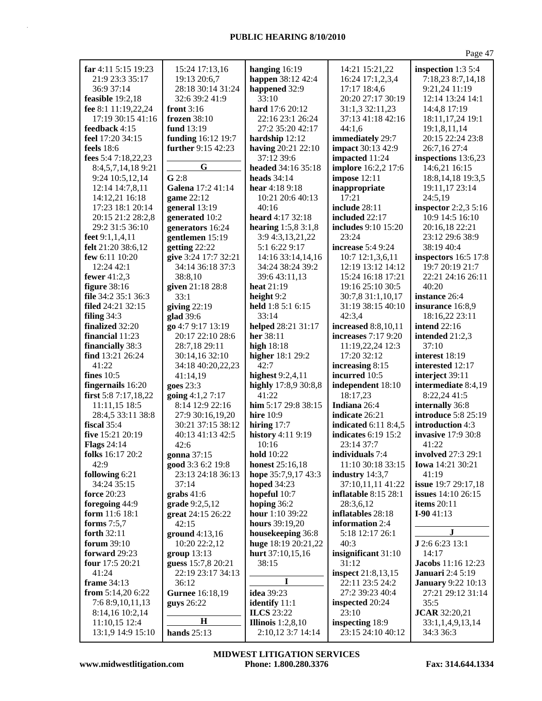| far 4:11 5:15 19:23        | 15:24 17:13,16                         | hanging 16:19                               | 14:21 15:21,22                         | inspection $1:35:4$                           |
|----------------------------|----------------------------------------|---------------------------------------------|----------------------------------------|-----------------------------------------------|
| 21:9 23:3 35:17            | 19:13 20:6,7                           | happen 38:12 42:4                           | 16:24 17:1,2,3,4                       | 7:18,23 8:7,14,18                             |
| 36:9 37:14                 | 28:18 30:14 31:24                      | happened 32:9                               | 17:17 18:4,6                           | 9:21,24 11:19                                 |
| feasible 19:2,18           | 32:6 39:2 41:9                         | 33:10                                       | 20:20 27:17 30:19                      | 12:14 13:24 14:1                              |
| fee 8:1 11:19,22,24        | front $3:16$                           | hard 17:6 20:12                             | 31:1,3 32:11,23                        | 14:4,8 17:19                                  |
| 17:19 30:15 41:16          | frozen $38:10$                         | 22:16 23:1 26:24                            | 37:13 41:18 42:16                      | 18:11,17,24 19:1                              |
| feedback 4:15              | fund 13:19                             | 27:2 35:20 42:17                            | 44:1,6                                 | 19:1,8,11,14                                  |
| feel 17:20 34:15           | funding 16:12 19:7                     | hardship 12:12                              | immediately 29:7                       | 20:15 22:24 23:8                              |
| feels $18:6$               | further 9:15 42:23                     | having 20:21 22:10                          | impact 30:13 42:9                      | 26:7,16 27:4                                  |
| fees 5:4 7:18,22,23        |                                        | 37:12 39:6                                  | impacted 11:24                         | inspections 13:6,23                           |
| 8:4,5,7,14,18 9:21         | $\mathbf G$                            | headed 34:16 35:18                          | <b>implore</b> 16:2,2 17:6             | 14:6,21 16:15                                 |
| 9:24 10:5,12,14            | G2:8                                   | heads $34:14$                               | impose 12:11                           | 18:8, 14, 18 19:3, 5                          |
| 12:14 14:7,8,11            | Galena 17:2 41:14                      | hear $4:189:18$                             | inappropriate                          | 19:11,17 23:14                                |
| 14:12,21 16:18             | game 22:12                             | 10:21 20:6 40:13                            | 17:21                                  | 24:5,19                                       |
| 17:23 18:1 20:14           | general 13:19                          | 40:16                                       | include 28:11                          | <b>inspector</b> 2:2,3 5:16                   |
| 20:15 21:2 28:2,8          | generated 10:2                         | heard 4:17 32:18                            | included 22:17                         | 10:9 14:5 16:10                               |
| 29:2 31:5 36:10            | generators 16:24                       | <b>hearing</b> $1:5,8,3:1,8$                | <b>includes</b> 9:10 15:20             | 20:16,18 22:21                                |
| feet 9:1,1,4,11            | gentlemen 15:19                        | 3:9 4:3,13,21,22                            | 23:24                                  | 23:12 29:6 38:9                               |
| felt 21:20 38:6,12         | getting 22:22                          | 5:1 6:22 9:17                               | increase 5:4 9:24                      | 38:19 40:4                                    |
| few 6:11 10:20             | give 3:24 17:7 32:21                   | 14:16 33:14,14,16                           | 10:7 12:1,3,6,11                       | <b>inspectors</b> 16:5 17:8                   |
| 12:24 42:1                 | 34:14 36:18 37:3                       | 34:24 38:24 39:2                            | 12:19 13:12 14:12                      | 19:7 20:19 21:7                               |
| fewer 41:2,3               | 38:8,10                                | 39:6 43:11,13                               | 15:24 16:18 17:21                      | 22:21 24:16 26:11                             |
| figure $38:16$             | given 21:18 28:8                       | heat 21:19                                  | 19:16 25:10 30:5                       | 40:20                                         |
| file 34:2 35:1 36:3        | 33:1                                   | height 9:2                                  | 30:7,8 31:1,10,17                      | instance 26:4                                 |
| filed 24:21 32:15          | giving $22:19$                         | held 1:8 5:1 6:15                           | 31:19 38:15 40:10                      | insurance 16:8,9                              |
| filing $34:3$              | glad 39:6                              | 33:14                                       | 42:3,4                                 | 18:16,22 23:11                                |
| finalized 32:20            | go 4:7 9:17 13:19                      | helped 28:21 31:17                          | increased 8:8,10,11                    | intend $22:16$                                |
| financial $11:23$          | 20:17 22:10 28:6                       | her 38:11                                   | increases 7:17 9:20                    | intended 21:2,3                               |
| financially 38:3           | 28:7,18 29:11                          | high 18:18                                  | 11:19,22,24 12:3                       | 37:10                                         |
| find 13:21 26:24           | 30:14,16 32:10                         | higher 18:1 29:2                            | 17:20 32:12                            | interest 18:19                                |
| 41:22                      | 34:18 40:20,22,23                      | 42:7                                        | increasing 8:15                        | interested 12:17                              |
| fines $10:5$               | 41:14,19                               | highest $9:2,4,11$                          | incurred 10:5                          | interject 39:11                               |
| fingernails 16:20          | goes 23:3                              | highly 17:8,9 30:8,8                        | independent 18:10                      | intermediate 8:4,19                           |
| first 5:8 7:17,18,22       | going 4:1,2 7:17                       | 41:22                                       | 18:17,23                               | 8:22,24 41:5                                  |
| 11:11,15 18:5              | 8:14 12:9 22:16                        | him 5:17 29:8 38:15                         | <b>Indiana</b> 26:4                    | internally 36:8                               |
| 28:4,5 33:11 38:8          | 27:9 30:16,19,20                       | hire $10:9$                                 | indicate 26:21                         | introduce 5:8 25:19                           |
| fiscal 35:4                | 30:21 37:15 38:12                      | hiring $17:7$                               | <b>indicated</b> 6:11 8:4,5            | introduction 4:3                              |
| five 15:21 20:19           | 40:13 41:13 42:5                       | history 4:11 9:19                           | indicates $6:19$ 15:2                  | <b>invasive</b> 17:9 30:8                     |
| <b>Flags</b> 24:14         | 42:6                                   | 10:16                                       |                                        | 41:22                                         |
|                            |                                        |                                             | 23:14 37:7<br>individuals 7:4          |                                               |
| folks 16:17 20:2<br>42:9   | gonna 37:15                            | <b>hold</b> 10:22<br><b>honest</b> 25:16,18 | 11:10 30:18 33:15                      | <b>involved</b> 27:3 29:1<br>Iowa 14:21 30:21 |
|                            | good 3:3 6:2 19:8<br>23:13 24:18 36:13 | hope 35:7,9,17 43:3                         |                                        | 41:19                                         |
| following 6:21             |                                        | hoped $34:23$                               | industry $14:3,7$<br>37:10,11,11 41:22 | issue 19:7 29:17,18                           |
| 34:24 35:15<br>force 20:23 | 37:14                                  |                                             | <b>inflatable</b> 8:15 28:1            | <b>issues</b> 14:10 26:15                     |
|                            | grabs 41:6                             | hopeful 10:7                                |                                        |                                               |
| foregoing 44:9             | grade 9:2,5,12                         | hoping $36:2$                               | 28:3,6,12                              | items $20:11$                                 |
| form $11:6 18:1$           | great 24:15 26:22                      | hour 1:10 39:22                             | inflatables 28:18                      | $I-9041:13$                                   |
| forms $7:5,7$              | 42:15                                  | hours 39:19,20                              | information 2:4                        | $\mathbf J$                                   |
| forth 32:11                | ground 4:13,16                         | housekeeping 36:8                           | 5:18 12:17 26:1                        |                                               |
| forum 39:10                | 10:20 22:2,12                          | huge 18:19 20:21,22                         | 40:3                                   | J 2:6 6:23 13:1                               |
| forward 29:23              | group 13:13                            | hurt 37:10,15,16                            | insignificant 31:10                    | 14:17                                         |
| four 17:5 20:21            | guess 15:7,8 20:21                     | 38:15                                       | 31:12                                  | <b>Jacobs</b> 11:16 12:23                     |
| 41:24                      | 22:19 23:17 34:13                      | I                                           | <b>inspect</b> 21:8,13,15              | <b>Januari</b> 2:4 5:19                       |
| frame 34:13                | 36:12                                  |                                             | 22:11 23:5 24:2                        | <b>January 9:22 10:13</b>                     |
| from $5:14,206:22$         | Gurnee 16:18,19                        | idea 39:23                                  | 27:2 39:23 40:4                        | 27:21 29:12 31:14                             |
| 7:6 8:9, 10, 11, 13        | guys 26:22                             | identify 11:1                               | inspected 20:24                        | 35:5                                          |
| 8:14,16 10:2,14            | $\mathbf H$                            | <b>ILCS</b> 23:22                           | 23:10                                  | <b>JCAR</b> 32:20,21                          |
| 11:10,15 12:4              |                                        | Illinois $1:2,8,10$                         | inspecting 18:9                        | 33:1,1,4,9,13,14                              |
| 13:1,9 14:9 15:10          | hands $25:13$                          | 2:10,12 3:7 14:14                           | 23:15 24:10 40:12                      | 34:3 36:3                                     |

**www.midwestlitigation.com Phone: 1.800.280.3376 Fax: 314.644.1334 MIDWEST LITIGATION SERVICES**

Page 47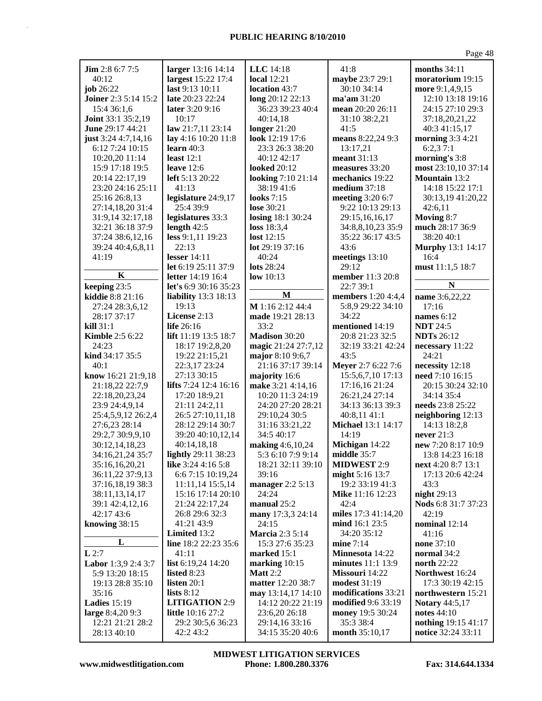|                                   |                                |                                       |                                  | Page 48                              |
|-----------------------------------|--------------------------------|---------------------------------------|----------------------------------|--------------------------------------|
| Jim 2:8 6:7 7:5                   | larger 13:16 14:14             | LLC 14:18                             | 41:8                             | months $34:11$                       |
| 40:12                             | largest 15:22 17:4             | <b>local</b> 12:21                    | maybe 23:7 29:1                  | moratorium 19:15                     |
| job 26:22                         | last 9:13 10:11                | location 43:7                         | 30:10 34:14                      | more 9:1,4,9,15                      |
| Joiner 2:3 5:14 15:2              | <b>late</b> 20:23 22:24        | long 20:12 22:13                      | ma'am 31:20                      | 12:10 13:18 19:16                    |
| 15:4 36:1,6                       | later 3:20 9:16                | 36:23 39:23 40:4                      | mean 20:20 26:11                 | 24:15 27:10 29:3                     |
| <b>Joint</b> 33:1 35:2,19         | 10:17                          | 40:14,18                              | 31:10 38:2,21                    | 37:18,20,21,22                       |
| June 29:17 44:21                  | law 21:7,11 23:14              | <b>longer</b> 21:20                   | 41:5                             | 40:3 41:15,17                        |
| just $3:244:7,14,16$              | lay 4:16 10:20 11:8            | look 12:19 17:6                       | means 8:22,24 9:3                | <b>morning</b> 3:3 4:21              |
| 6:12 7:24 10:15                   | learn $40:3$                   | 23:3 26:3 38:20                       | 13:17,21                         | 6:2,37:1                             |
| 10:20,20 11:14                    | least $12:1$                   | 40:12 42:17                           | meant 31:13                      | morning's 3:8                        |
| 15:9 17:18 19:5                   | leave $12:6$                   | <b>looked</b> 20:12                   | measures 33:20                   | most 23:10,10 37:14                  |
| 20:14 22:17,19                    | <b>left</b> 5:13 20:22         | looking 7:10 21:14                    | mechanics 19:22                  | <b>Mountain 13:2</b>                 |
| 23:20 24:16 25:11                 | 41:13                          | 38:19 41:6                            | medium $37:18$                   | 14:18 15:22 17:1                     |
| 25:16 26:8,13                     | legislature 24:9,17            | <b>looks</b> 7:15                     | meeting 3:20 6:7                 | 30:13,19 41:20,22                    |
| 27:14,18,20 31:4                  | 25:4 39:9                      | <b>lose</b> 30:21                     | 9:22 10:13 29:13                 | 42:6,11                              |
| 31:9,14 32:17,18                  | legislatures 33:3              | losing 18:1 30:24                     | 29:15,16,16,17                   | Moving 8:7                           |
| 32:21 36:18 37:9                  | length $42:5$                  | loss $18:3,4$                         | 34:8,8,10,23 35:9                | much 28:17 36:9                      |
| 37:24 38:6,12,16                  | less 9:1,11 19:23              | lost $12:15$                          | 35:22 36:17 43:5                 | 38:20 40:1                           |
| 39:24 40:4,6,8,11                 | 22:13                          | lot 29:19 37:16                       | 43:6                             | <b>Murphy</b> 13:1 14:17             |
| 41:19                             | lesser $14:11$                 | 40:24                                 | meetings 13:10                   | 16:4                                 |
|                                   | let 6:19 25:11 37:9            | lots 28:24                            | 29:12                            | must 11:1,5 18:7                     |
| $\mathbf K$                       | <b>letter</b> 14:19 16:4       | low $10:13$                           | member 11:3 20:8                 |                                      |
| keeping 23:5                      | let's 6:9 30:16 35:23          |                                       | 22:7 39:1                        | $\mathbf N$                          |
| kiddie 8:8 21:16                  | <b>liability</b> 13:3 18:13    | M                                     | members 1:20 4:4,4               | name 3:6,22,22                       |
| 27:24 28:3,6,12                   | 19:13                          | M 1:16 2:12 44:4                      | 5:8,9 29:22 34:10                | 17:16                                |
| 28:17 37:17                       | License 2:13                   | made 19:21 28:13                      | 34:22                            | names $6:12$                         |
| $\mathbf{kill}$ 31:1              | life 26:16                     | 33:2                                  | mentioned 14:19                  | <b>NDT</b> 24:5                      |
| <b>Kimble 2:5 6:22</b>            | lift 11:19 13:5 18:7           | Madison 30:20                         | 20:8 21:23 32:5                  | <b>NDTs</b> 26:12                    |
| 24:23                             | 18:17 19:2,8,20                | magic 21:24 27:7,12                   | 32:19 33:21 42:24                | necessary 11:22                      |
| kind 34:17 35:5                   | 19:22 21:15,21                 | major 8:10 9:6,7                      | 43:5                             | 24:21                                |
| 40:1                              | 22:3,17 23:24<br>27:13 30:15   | 21:16 37:17 39:14                     | Meyer 2:7 6:22 7:6               | necessity 12:18                      |
| know 16:21 21:9,18                | <b>lifts</b> $7:24$ 12:4 16:16 | majority 16:6                         | 15:5,6,7,10 17:13                | need 7:10 16:15<br>20:15 30:24 32:10 |
| 21:18,22 22:7,9<br>22:18,20,23,24 |                                | make 3:21 4:14,16<br>10:20 11:3 24:19 | 17:16,16 21:24<br>26:21,24 27:14 | 34:14 35:4                           |
| 23:9 24:4,9,14                    | 17:20 18:9,21<br>21:11 24:2,11 | 24:20 27:20 28:21                     | 34:13 36:13 39:3                 | needs 23:8 25:22                     |
| 25:4,5,9,12 26:2,4                | 26:5 27:10,11,18               | 29:10,24 30:5                         | 40:8,11 41:1                     | neighboring 12:13                    |
| 27:6,23 28:14                     | 28:12 29:14 30:7               | 31:16 33:21,22                        | <b>Michael 13:1 14:17</b>        | 14:13 18:2,8                         |
| 29:2,7 30:9,9,10                  | 39:20 40:10,12,14              | 34:5 40:17                            | 14:19                            | never $21:3$                         |
| 30:12,14,18,23                    | 40:14,18,18                    | making 4:6,10,24                      | Michigan 14:22                   | new 7:20 8:17 10:9                   |
| 34:16,21,24 35:7                  | lightly 29:11 38:23            | 5:3 6:10 7:9 9:14                     | middle 35:7                      | 13:8 14:23 16:18                     |
| 35:16,16,20,21                    | like $3:244:165:8$             | 18:21 32:11 39:10                     | <b>MIDWEST 2:9</b>               | next 4:20 8:7 13:1                   |
| 36:11,22 37:9,13                  | 6:6 7:15 10:19,24              | 39:16                                 | might 5:16 13:7                  | 17:13 20:6 42:24                     |
| 37:16,18,19 38:3                  | 11:11,14 15:5,14               | manager 2:2 5:13                      | 19:2 33:19 41:3                  | 43:3                                 |
| 38:11,13,14,17                    | 15:16 17:14 20:10              | 24:24                                 | <b>Mike</b> 11:16 12:23          | night 29:13                          |
| 39:1 42:4,12,16                   | 21:24 22:17,24                 | manual 25:2                           | 42:4                             | Nods 6:8 31:7 37:23                  |
| 42:17 43:6                        | 26:8 29:6 32:3                 | many 17:3,3 24:14                     | miles 17:3 41:14,20              | 42:19                                |
| knowing 38:15                     | 41:21 43:9                     | 24:15                                 | mind 16:1 23:5                   | nominal 12:14                        |
|                                   | Limited 13:2                   | <b>Marcia</b> 2:3 5:14                | 34:20 35:12                      | 41:16                                |
| L                                 | line 18:2 22:23 35:6           | 15:3 27:6 35:23                       | mine $7:14$                      | none 37:10                           |
| L2:7                              | 41:11                          | marked 15:1                           | Minnesota 14:22                  | normal 34:2                          |
| Labor 1:3,9 2:4 3:7               | list 6:19,24 14:20             | marking $10:15$                       | minutes 11:1 13:9                | <b>north</b> 22:22                   |
| 5:9 13:20 18:15                   | listed $8:23$                  | Matt $2:2$                            | Missouri 14:22                   | Northwest 16:24                      |
| 19:13 28:8 35:10                  | listen $20:1$                  | matter 12:20 38:7                     | <b>modest 31:19</b>              | 17:3 30:19 42:15                     |
| 35:16                             | lists $8:12$                   | may 13:14,17 14:10                    | modifications 33:21              | northwestern 15:21                   |
| <b>Ladies</b> 15:19               | <b>LITIGATION 2:9</b>          | 14:12 20:22 21:19                     | <b>modified</b> 9:6 33:19        | <b>Notary 44:5,17</b>                |
| large 8:4,20 9:3                  | <b>little</b> $10:16\ 27:2$    | 23:6,20 26:18                         | money 19:5 30:24                 | notes $44:10$                        |
| 12:21 21:21 28:2                  | 29:2 30:5,6 36:23              | 29:14,16 33:16                        | 35:3 38:4                        | nothing 19:15 41:17                  |
| 28:13 40:10                       | 42:2 43:2                      | 34:15 35:20 40:6                      | month 35:10,17                   | notice 32:24 33:11                   |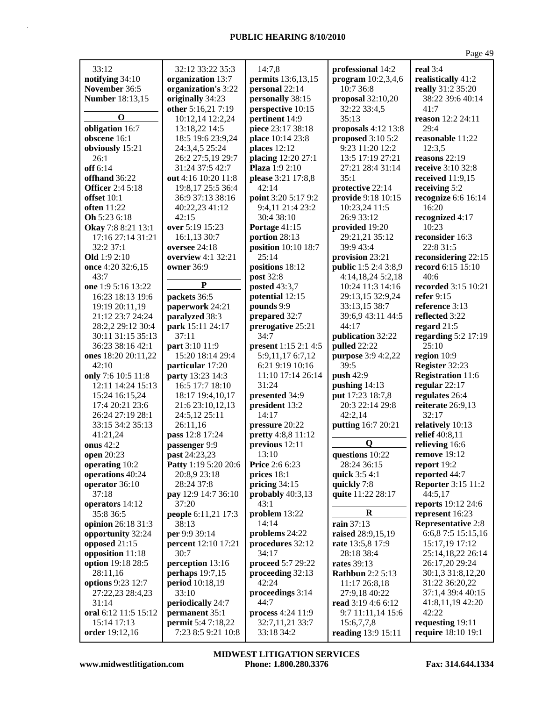|                         |                           |                       |                         | Page 49                   |
|-------------------------|---------------------------|-----------------------|-------------------------|---------------------------|
| 33:12                   | 32:12 33:22 35:3          | 14:7,8                | professional 14:2       | real $3:4$                |
| notifying 34:10         |                           | permits 13:6,13,15    | program $10:2,3,4,6$    | realistically 41:2        |
|                         | organization 13:7         |                       |                         |                           |
| November 36:5           | organization's 3:22       | personal 22:14        | 10:7 36:8               | really 31:2 35:20         |
| <b>Number</b> 18:13,15  | originally 34:23          | personally 38:15      | proposal 32:10,20       | 38:22 39:6 40:14          |
|                         | other 5:16,21 7:19        | perspective 10:15     | 32:22 33:4,5            | 41:7                      |
| $\mathbf 0$             | 10:12,14 12:2,24          | pertinent 14:9        | 35:13                   | reason 12:2 24:11         |
| obligation 16:7         | 13:18,22 14:5             | piece 23:17 38:18     | proposals $4:12$ 13:8   | 29:4                      |
| obscene 16:1            | 18:5 19:6 23:9,24         | place 10:14 23:8      | proposed $3:105:2$      | reasonable 11:22          |
| obviously 15:21         | 24:3,4,5 25:24            | places 12:12          | 9:23 11:20 12:2         | 12:3,5                    |
| 26:1                    | 26:2 27:5,19 29:7         | placing 12:20 27:1    | 13:5 17:19 27:21        | reasons 22:19             |
| off 6:14                | 31:24 37:5 42:7           | Plaza 1:9 2:10        | 27:21 28:4 31:14        | <b>receive</b> 3:10 32:8  |
| offhand 36:22           | out 4:16 10:20 11:8       | please 3:21 17:8,8    | 35:1                    | received 11:9,15          |
| <b>Officer</b> 2:4 5:18 | 19:8,17 25:5 36:4         | 42:14                 | protective 22:14        | receiving 5:2             |
| offset 10:1             | 36:9 37:13 38:16          | point 3:20 5:17 9:2   | provide 9:18 10:15      | recognize 6:6 16:14       |
| <b>often</b> 11:22      | 40:22,23 41:12            | 9:4,11 21:4 23:2      | 10:23,24 11:5           | 16:20                     |
| Oh 5:23 6:18            | 42:15                     | 30:4 38:10            | 26:9 33:12              | recognized 4:17           |
| Okay 7:8 8:21 13:1      | over 5:19 15:23           | Portage 41:15         | provided 19:20          | 10:23                     |
| 17:16 27:14 31:21       | 16:1,13 30:7              | portion 28:13         | 29:21,21 35:12          | reconsider 16:3           |
| 32:2 37:1               | oversee 24:18             | position 10:10 18:7   | 39:9 43:4               | 22:8 31:5                 |
| Old 1:9 2:10            | overview 4:1 32:21        | 25:14                 | provision 23:21         | reconsidering 22:15       |
| once 4:20 32:6,15       | <b>owner</b> 36:9         | positions 18:12       | public 1:5 2:4 3:8,9    | record 6:15 15:10         |
| 43:7                    |                           | post 32:8             | 4:14,18,24 5:2,18       | 40:6                      |
|                         | ${\bf P}$                 |                       |                         | recorded 3:15 10:21       |
| one 1:9 5:16 13:22      |                           | posted 43:3,7         | 10:24 11:3 14:16        |                           |
| 16:23 18:13 19:6        | packets 36:5              | potential 12:15       | 29:13,15 32:9,24        | refer 9:15                |
| 19:19 20:11,19          | paperwork 24:21           | pounds 9:9            | 33:13,15 38:7           | reference 3:13            |
| 21:12 23:7 24:24        | paralyzed 38:3            | prepared 32:7         | 39:6,9 43:11 44:5       | reflected 3:22            |
| 28:2,2 29:12 30:4       | park 15:11 24:17          | prerogative 25:21     | 44:17                   | regard $21:5$             |
| 30:11 31:15 35:13       | 37:11                     | 34:7                  | publication 32:22       | regarding $5:2$ 17:19     |
| 36:23 38:16 42:1        | part 3:10 11:9            | present 1:15 2:1 4:5  | pulled 22:22            | 25:10                     |
| ones 18:20 20:11,22     | 15:20 18:14 29:4          | 5:9,11,17 6:7,12      | purpose 3:9 4:2,22      | region 10:9               |
| 42:10                   | particular 17:20          | 6:21 9:19 10:16       | 39:5                    | Register 32:23            |
| only 7:6 10:5 11:8      | party 13:23 14:3          | 11:10 17:14 26:14     | push 42:9               | <b>Registration 11:6</b>  |
| 12:11 14:24 15:13       | 16:5 17:7 18:10           | 31:24                 | pushing 14:13           | regular 22:17             |
| 15:24 16:15,24          | 18:17 19:4,10,17          | presented 34:9        | put 17:23 18:7,8        | regulates 26:4            |
| 17:4 20:21 23:6         | 21:6 23:10,12,13          | president 13:2        | 20:3 22:14 29:8         | reiterate 26:9,13         |
| 26:24 27:19 28:1        | 24:5,12 25:11             | 14:17                 | 42:2,14                 | 32:17                     |
| 33:15 34:2 35:13        | 26:11,16                  | pressure 20:22        | putting 16:7 20:21      | relatively 10:13          |
| 41:21,24                | pass 12:8 17:24           | pretty 4:8,8 11:12    |                         | relief 40:8,11            |
| onus 42:2               | passenger 9:9             | previous 12:11        | $\bf{0}$                | relieving 16:6            |
| open 20:23              | past 24:23,23             | 13:10                 | questions 10:22         | remove 19:12              |
| operating 10:2          | Patty 1:19 5:20 20:6      | <b>Price</b> 2:6 6:23 | 28:24 36:15             | report 19:2               |
| operations 40:24        | 20:8,9 23:18              | prices 18:1           | quick 3:5 4:1           | reported 44:7             |
| operator 36:10          | 28:24 37:8                | pricing 34:15         | quickly 7:8             | <b>Reporter 3:15 11:2</b> |
| 37:18                   | pay 12:9 14:7 36:10       | probably $40:3,13$    | quite 11:22 28:17       | 44:5,17                   |
| operators 14:12         | 37:20                     | 43:1                  |                         | reports 19:12 24:6        |
| 35:8 36:5               | people 6:11,21 17:3       | problem 13:22         | $\bf R$                 | represent 16:23           |
| opinion 26:18 31:3      | 38:13                     | 14:14                 | rain 37:13              | <b>Representative 2:8</b> |
| opportunity 32:24       | per 9:9 39:14             | problems 24:22        | raised 28:9,15,19       | 6:6,87:515:15,16          |
| opposed 21:15           | percent 12:10 17:21       | procedures 32:12      | <b>rate</b> 13:5,8 17:9 | 15:17,19 17:12            |
| opposition 11:18        | 30:7                      | 34:17                 | 28:18 38:4              | 25:14,18,22 26:14         |
| option 19:18 28:5       | perception 13:16          | proceed 5:7 29:22     | rates 39:13             | 26:17,20 29:24            |
| 28:11,16                | <b>perhaps</b> 19:7,15    | proceeding 32:13      | <b>Rathbun</b> 2:2 5:13 | 30:1,3 31:8,12,20         |
| options 9:23 12:7       | <b>period</b> 10:18,19    | 42:24                 | 11:17 26:8,18           | 31:22 36:20,22            |
| 27:22,23 28:4,23        | 33:10                     | proceedings 3:14      |                         | 37:1,4 39:4 40:15         |
|                         |                           | 44:7                  | 27:9,18 40:22           |                           |
| 31:14                   | periodically 24:7         |                       | read 3:19 4:6 6:12      | 41:8,11,19 42:20<br>42:22 |
| oral 6:12 11:5 15:12    | permanent 35:1            | process 4:24 11:9     | 9:7 11:11,14 15:6       |                           |
| 15:14 17:13             | <b>permit</b> 5:4 7:18,22 | 32:7,11,21 33:7       | 15:6,7,7,8              | requesting 19:11          |
| order 19:12,16          | 7:23 8:5 9:21 10:8        | 33:18 34:2            | reading 13:9 15:11      | require 18:10 19:1        |

**www.midwestlitigation.com Phone: 1.800.280.3376 Fax: 314.644.1334 MIDWEST LITIGATION SERVICES**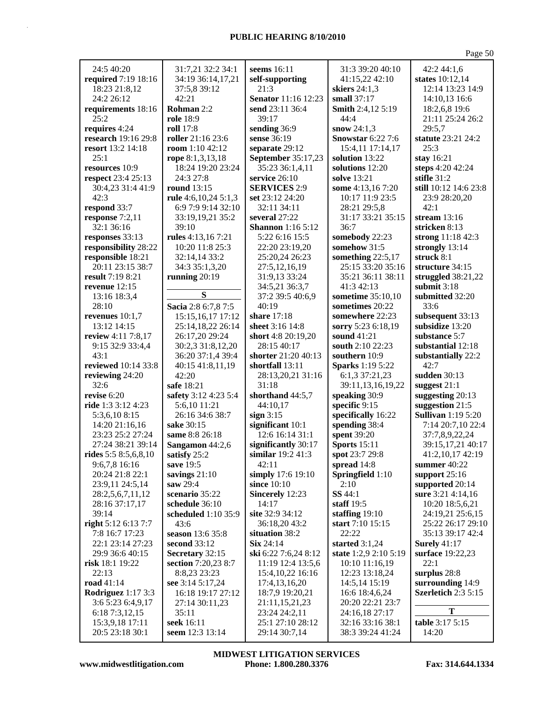| 24:5 40:20              | 31:7,21 32:2 34:1    | seems $16:11$              | 31:3 39:20 40:10         | 42:2 44:1,6                |
|-------------------------|----------------------|----------------------------|--------------------------|----------------------------|
| required 7:19 18:16     | 34:19 36:14,17,21    | self-supporting            | 41:15,22 42:10           | states 10:12,14            |
| 18:23 21:8,12           | 37:5,8 39:12         | 21:3                       | skiers 24:1,3            | 12:14 13:23 14:9           |
| 24:2 26:12              | 42:21                | <b>Senator</b> 11:16 12:23 | small 37:17              | 14:10,13 16:6              |
| requirements 18:16      | Rohman 2:2           | send 23:11 36:4            | Smith 2:4,12 5:19        | 18:2,6,8 19:6              |
| 25:2                    | role 18:9            | 39:17                      | 44:4                     | 21:11 25:24 26:2           |
| requires 4:24           | <b>roll</b> 17:8     | sending 36:9               | snow $24:1,3$            | 29:5,7                     |
| research 19:16 29:8     | roller 21:16 23:6    | sense 36:19                | <b>Snowstar 6:22 7:6</b> | statute 23:21 24:2         |
| resort 13:2 14:18       | room 1:10 42:12      | separate 29:12             | 15:4,11 17:14,17         | 25:3                       |
| 25:1                    | rope 8:1,3,13,18     | September 35:17,23         | solution 13:22           | stay 16:21                 |
| resources 10:9          | 18:24 19:20 23:24    | 35:23 36:1,4,11            | solutions 12:20          | steps 4:20 42:24           |
| respect 23:4 25:13      | 24:3 27:8            | service 26:10              | solve 13:21              | stifle $31:2$              |
| 30:4,23 31:4 41:9       | round 13:15          | <b>SERVICES 2:9</b>        | some 4:13,16 7:20        | still 10:12 14:6 23:8      |
| 42:3                    | rule 4:6,10,24 5:1,3 | set 23:12 24:20            | 10:17 11:9 23:5          | 23:9 28:20,20              |
| respond 33:7            | 6:9 7:9 9:14 32:10   | 32:11 34:11                | 28:21 29:5,8             | 42:1                       |
| response 7:2,11         | 33:19,19,21 35:2     | several 27:22              | 31:17 33:21 35:15        | stream $13:16$             |
| 32:1 36:16              | 39:10                | <b>Shannon</b> 1:16 5:12   | 36:7                     | stricken 8:13              |
| responses 33:13         | rules 4:13,16 7:21   | 5:22 6:16 15:5             | somebody 22:23           | strong 11:18 42:3          |
| responsibility 28:22    | 10:20 11:8 25:3      | 22:20 23:19,20             | somehow 31:5             | strongly 13:14             |
| responsible 18:21       | 32:14,14 33:2        |                            |                          | struck 8:1                 |
|                         |                      | 25:20,24 26:23             | something 22:5,17        |                            |
| 20:11 23:15 38:7        | 34:3 35:1,3,20       | 27:5,12,16,19              | 25:15 33:20 35:16        | structure 34:15            |
| <b>result</b> 7:19 8:21 | running $20:19$      | 31:9,13 33:24              | 35:21 36:11 38:11        | struggled $38:21,22$       |
| revenue 12:15           | ${\bf S}$            | 34:5,21 36:3,7             | 41:3 42:13               | submit $3:18$              |
| 13:16 18:3,4            |                      | 37:2 39:5 40:6,9           | sometime 35:10,10        | submitted 32:20            |
| 28:10                   | Sacia 2:8 6:7,8 7:5  | 40:19                      | sometimes 20:22          | 33:6                       |
| revenues $10:1,7$       | 15:15,16,17 17:12    | share 17:18                | somewhere 22:23          | subsequent 33:13           |
| 13:12 14:15             | 25:14,18,22 26:14    | sheet 3:16 14:8            | sorry 5:23 6:18,19       | subsidize 13:20            |
| review 4:11 7:8,17      | 26:17,20 29:24       | short 4:8 20:19,20         | sound 41:21              | substance 5:7              |
| 9:15 32:9 33:4,4        | 30:2,3 31:8,12,20    | 28:15 40:17                | south 2:10 22:23         | substantial 12:18          |
| 43:1                    | 36:20 37:1,4 39:4    | shorter 21:20 40:13        | southern 10:9            | substantially 22:2         |
| reviewed 10:14 33:8     | 40:15 41:8,11,19     | shortfall 13:11            | <b>Sparks</b> 1:19 5:22  | 42:7                       |
| reviewing 24:20         | 42:20                | 28:13,20,21 31:16          | 6:1,3 37:21,23           | sudden 30:13               |
| 32:6                    | safe 18:21           | 31:18                      | 39:11,13,16,19,22        | suggest 21:1               |
| revise 6:20             | safety 3:12 4:23 5:4 | shorthand 44:5,7           | speaking 30:9            | suggesting $20:13$         |
| ride 1:3 3:12 4:23      | 5:6,10 11:21         | 44:10,17                   | specific 9:15            | suggestion 21:5            |
| 5:3,6,10 8:15           | 26:16 34:6 38:7      | sign $3:15$                | specifically 16:22       | <b>Sullivan</b> 1:19 5:20  |
| 14:20 21:16,16          | sake 30:15           | significant 10:1           | spending 38:4            | 7:14 20:7,10 22:4          |
| 23:23 25:2 27:24        | same 8:8 26:18       | 12:6 16:14 31:1            | spent 39:20              | 37:7,8,9,22,24             |
| 27:24 38:21 39:14       | Sangamon 44:2,6      | significantly 30:17        | <b>Sports</b> 15:11      | 39:15,17,21 40:17          |
| rides 5:5 8:5,6,8,10    | satisfy 25:2         | similar 19:2 41:3          | spot 23:7 29:8           | 41:2,10,17 42:19           |
| 9:6,7,8 16:16           | save 19:5            | 42:11                      | spread 14:8              | summer $40:22$             |
| 20:24 21:8 22:1         | savings $21:10$      | simply 17:6 19:10          | Springfield 1:10         | support 25:16              |
| 23:9,11 24:5,14         | saw 29:4             | since 10:10                | 2:10                     | supported 20:14            |
| 28:2,5,6,7,11,12        | scenario 35:22       | Sincerely 12:23            | SS 44:1                  | sure 3:21 4:14,16          |
| 28:16 37:17,17          | schedule 36:10       | 14:17                      | staff 19:5               | 10:20 18:5,6,21            |
| 39:14                   | scheduled 1:10 35:9  | site 32:9 34:12            | staffing $19:10$         | 24:19,21 25:6,15           |
| right 5:12 6:13 7:7     | 43:6                 | 36:18,2043:2               | start $7:10$ 15:15       | 25:22 26:17 29:10          |
| 7:8 16:7 17:23          | season 13:6 35:8     | situation 38:2             | 22:22                    | 35:13 39:17 42:4           |
| 22:1 23:14 27:23        | second $33:12$       | $\textbf{Six } 24:14$      | started $3:1,24$         | <b>Surely</b> 41:17        |
| 29:9 36:6 40:15         | Secretary 32:15      | ski 6:22 7:6,24 8:12       | state 1:2,9 2:10 5:19    | surface 19:22,23           |
| risk 18:1 19:22         | section 7:20,23 8:7  | 11:19 12:4 13:5,6          | 10:10 11:16,19           | 22:1                       |
| 22:13                   | 8:8,23 23:23         | 15:4, 10, 22 16:16         | 12:23 13:18,24           | surplus 28:8               |
| road 41:14              | see 3:14 5:17,24     | 17:4,13,16,20              | 14:5,14 15:19            | surrounding 14:9           |
| Rodriguez 1:17 3:3      | 16:18 19:17 27:12    | 18:7,9 19:20,21            | 16:6 18:4,6,24           | <b>Szerletich 2:3 5:15</b> |
| 3:6 5:23 6:4,9,17       | 27:14 30:11,23       | 21:11,15,21,23             | 20:20 22:21 23:7         |                            |
| 6:18 7:3,12,15          | 35:11                | 23:24 24:2,11              | 24:16,18 27:17           | T                          |
| 15:3,9,18 17:11         | seek 16:11           | 25:1 27:10 28:12           | 32:16 33:16 38:1         | table 3:17 5:15            |
| 20:5 23:18 30:1         | seem 12:3 13:14      | 29:14 30:7,14              | 38:3 39:24 41:24         | 14:20                      |

**www.midwestlitigation.com Phone: 1.800.280.3376 Fax: 314.644.1334 MIDWEST LITIGATION SERVICES**

Page 50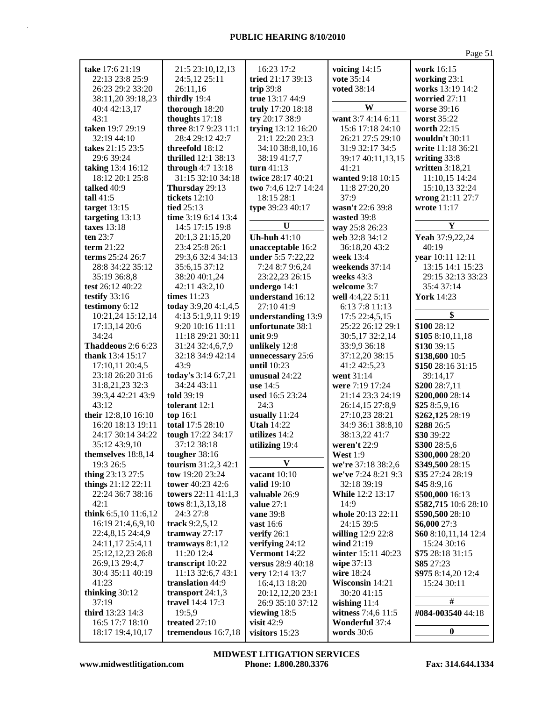|                                    |                                       |                                      |                                    | Page 51                          |
|------------------------------------|---------------------------------------|--------------------------------------|------------------------------------|----------------------------------|
| take 17:6 21:19                    | 21:5 23:10,12,13                      | 16:23 17:2                           | voicing $14:15$                    | work 16:15                       |
| 22:13 23:8 25:9                    | 24:5,12 25:11                         | tried 21:17 39:13                    | vote 35:14                         | working 23:1                     |
| 26:23 29:2 33:20                   | 26:11,16                              | trip $39:8$                          | <b>voted</b> 38:14                 | works 13:19 14:2                 |
| 38:11,20 39:18,23                  | thirdly 19:4                          | true 13:17 44:9                      |                                    | worried 27:11                    |
| 40:4 42:13,17                      | thorough 18:20                        | truly 17:20 18:18                    | W                                  | worse 39:16                      |
| 43:1                               | thoughts 17:18                        | try 20:17 38:9                       | want 3:7 4:14 6:11                 | <b>worst</b> 35:22               |
| taken 19:7 29:19                   | three 8:17 9:23 11:1                  | trying 13:12 16:20                   | 15:6 17:18 24:10                   | worth 22:15                      |
| 32:19 44:10                        | 28:4 29:12 42:7                       | 21:1 22:20 23:3                      | 26:21 27:5 29:10                   | wouldn't 30:11                   |
| takes 21:15 23:5                   | threefold 18:12                       | 34:10 38:8,10,16                     | 31:9 32:17 34:5                    | write 11:18 36:21                |
| 29:6 39:24                         | thrilled 12:1 38:13                   | 38:19 41:7,7                         | 39:17 40:11,13,15                  | writing 33:8                     |
| taking 13:4 16:12                  | through 4:7 13:18                     | turn $41:13$                         | 41:21                              | written 3:18,21                  |
| 18:12 20:1 25:8                    | 31:15 32:10 34:18                     | twice 28:17 40:21                    | wanted 9:18 10:15                  | 11:10,15 14:24                   |
| talked 40:9                        | Thursday 29:13                        | two 7:4,6 12:7 14:24                 | 11:8 27:20,20                      | 15:10,13 32:24                   |
| tall $41:5$                        | tickets $12:10$                       | 18:15 28:1                           | 37:9                               | wrong 21:11 27:7                 |
| target $13:15$                     | tied $25:13$                          | type 39:23 40:17                     | wasn't 22:6 39:8                   | wrote 11:17                      |
| targeting 13:13                    | time 3:19 6:14 13:4                   |                                      | wasted 39:8                        |                                  |
| taxes $13:18$                      | 14:5 17:15 19:8                       | U                                    | way 25:8 26:23                     | Y                                |
| ten 23:7                           | 20:1,3 21:15,20                       | Uh-huh $41:10$                       | web 32:8 34:12                     | Yeah 37:9,22,24                  |
| term $21:22$                       | 23:4 25:8 26:1                        | unacceptable 16:2                    | 36:18,2043:2                       | 40:19                            |
| terms 25:24 26:7                   | 29:3,6 32:4 34:13                     | under 5:5 7:22,22                    | week 13:4                          | year 10:11 12:11                 |
| 28:8 34:22 35:12                   | 35:6,15 37:12                         | 7:24 8:7 9:6,24                      | weekends 37:14                     | 13:15 14:1 15:23                 |
| 35:19 36:8,8                       | 38:20 40:1,24                         | 23:22,23 26:15                       | weeks $43:3$                       | 29:15 32:13 33:23                |
| test 26:12 40:22                   | 42:11 43:2,10                         | undergo 14:1                         | welcome 3:7                        | 35:4 37:14                       |
| testify $33:16$                    | times 11:23                           | understand 16:12                     | well 4:4,22 5:11                   | <b>York</b> 14:23                |
| testimony 6:12                     | today $3:9,204:1,4,5$                 | 27:10 41:9                           | 6:13 7:8 11:13                     | \$                               |
| 10:21,24 15:12,14                  | 4:13 5:1,9,11 9:19                    | understanding 13:9                   | 17:5 22:4,5,15                     |                                  |
| 17:13,14 20:6<br>34:24             | 9:20 10:16 11:11<br>11:18 29:21 30:11 | unfortunate 38:1<br>unit $9:9$       | 25:22 26:12 29:1                   | \$100 28:12                      |
| Thaddeous 2:6 6:23                 | 31:24 32:4,6,7,9                      | unlikely 12:8                        | 30:5,17 32:2,14                    | \$1058:10,11,18                  |
| <b>thank</b> 13:4 15:17            | 32:18 34:9 42:14                      | unnecessary 25:6                     | 33:9,9 36:18<br>37:12,20 38:15     | \$130 39:15<br>\$138,600 10:5    |
| 17:10,11 20:4,5                    | 43:9                                  | <b>until</b> 10:23                   | 41:2 42:5,23                       | \$150 28:16 31:15                |
| 23:18 26:20 31:6                   | today's 3:14 6:7,21                   | unusual 24:22                        | went 31:14                         | 39:14,17                         |
| 31:8,21,23 32:3                    | 34:24 43:11                           | use $14:5$                           | were 7:19 17:24                    | \$200 28:7,11                    |
| 39:3,4 42:21 43:9                  | told 39:19                            | used 16:5 23:24                      | 21:14 23:3 24:19                   | \$200,000 28:14                  |
| 43:12                              | tolerant 12:1                         | 24:3                                 | 26:14,15 27:8,9                    | \$25 $8:5,9,16$                  |
| their 12:8,10 16:10                | top $16:1$                            | usually 11:24                        | 27:10,23 28:21                     | \$262,125 28:19                  |
| 16:20 18:13 19:11                  | total 17:5 28:10                      | <b>Utah 14:22</b>                    | 34:9 36:1 38:8,10                  | \$288 26:5                       |
| 24:17 30:14 34:22                  | tough 17:22 34:17                     | utilizes 14:2                        | 38:13,22 41:7                      | \$30 39:22                       |
| 35:12 43:9,10                      | 37:12 38:18                           | utilizing 19:4                       | weren't 22:9                       | \$300 28:5,6                     |
| themselves 18:8,14                 | tougher 38:16                         |                                      | <b>West</b> 1:9                    | \$300,000 28:20                  |
| 19:3 26:5                          | <b>tourism</b> 31:2,3 42:1            | V                                    | we're 37:18 38:2,6                 | \$349,500 28:15                  |
| thing 23:13 27:5                   | tow $19:20$ 23:24                     | vacant $10:10$                       | we've 7:24 8:21 9:3                | \$35 27:24 28:19                 |
| things 21:12 22:11                 | tower 40:23 42:6                      | valid 19:10                          | 32:18 39:19                        | \$458:9,16                       |
| 22:24 36:7 38:16                   | towers 22:11 41:1,3                   | valuable 26:9                        | While 12:2 13:17                   | \$500,000 16:13                  |
| 42:1                               | tows 8:1,3,13,18                      | value $27:1$                         | 14:9                               | \$582,715 10:6 28:10             |
| think $6:5,10$ 11:6,12             | 24:3 27:8                             | <b>vane</b> 39:8                     | whole 20:13 22:11                  | \$590,500 28:10                  |
| 16:19 21:4,6,9,10                  | track 9:2,5,12                        | <b>vast</b> 16:6                     | 24:15 39:5                         | \$6,000 27:3                     |
| 22:4,8,15 24:4,9                   | tramway $27:17$                       | verify 26:1                          | willing 12:9 22:8                  | \$60 8:10,11,14 12:4             |
| 24:11,17 25:4,11                   | tramways $8:1,12$<br>11:20 12:4       | verifying 24:12                      | wind $21:19$<br>winter 15:11 40:23 | 15:24 30:16                      |
| 25:12,12,23 26:8<br>26:9,13 29:4,7 |                                       | Vermont 14:22                        |                                    | \$75 28:18 31:15                 |
| 30:4 35:11 40:19                   | transcript 10:22<br>11:13 32:6,7 43:1 | versus 28:9 40:18<br>very 12:14 13:7 | wipe 37:13<br>wire 18:24           | \$85 27:23<br>\$975 8:14,20 12:4 |
| 41:23                              | translation 44:9                      | 16:4,13 18:20                        | Wisconsin 14:21                    | 15:24 30:11                      |
| thinking 30:12                     | transport $24:1,3$                    | 20:12,12,20 23:1                     | 30:20 41:15                        |                                  |
| 37:19                              | travel 14:4 17:3                      | 26:9 35:10 37:12                     | wishing $11:4$                     | #                                |
| third 13:23 14:3                   | 19:5,9                                | viewing 18:5                         | witness $7:4,6$ 11:5               | #084-003540 44:18                |
| 16:5 17:7 18:10                    | treated $27:10$                       | visit $42:9$                         | <b>Wonderful 37:4</b>              |                                  |
| 18:17 19:4,10,17                   | tremendous 16:7,18                    | visitors 15:23                       | words 30:6                         | $\bf{0}$                         |
|                                    |                                       |                                      |                                    |                                  |

**www.midwestlitigation.com Phone: 1.800.280.3376 Fax: 314.644.1334 MIDWEST LITIGATION SERVICES**